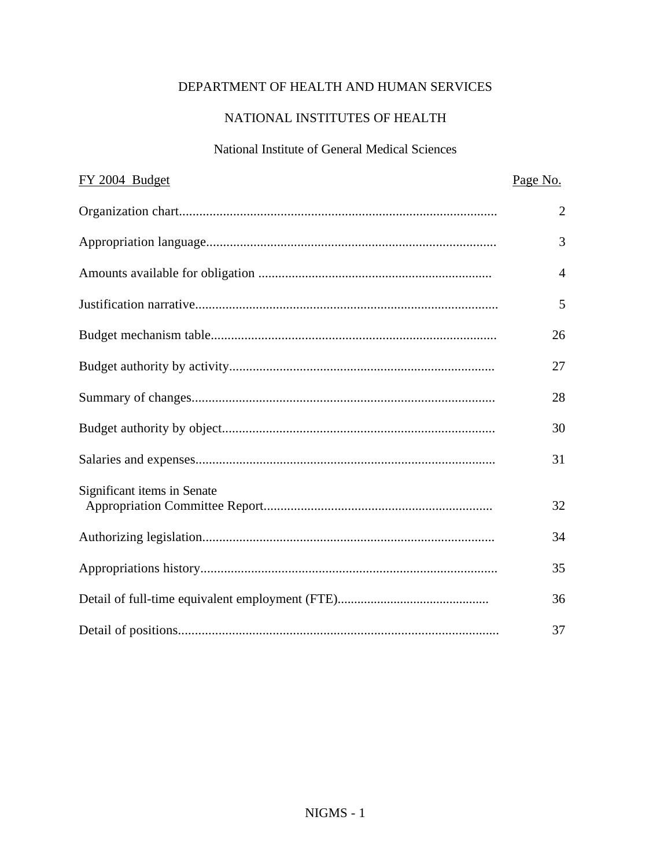# DEPARTMENT OF HEALTH AND HUMAN SERVICES

## NATIONAL INSTITUTES OF HEALTH

## National Institute of General Medical Sciences

| FY 2004 Budget              | Page No.       |
|-----------------------------|----------------|
|                             | $\overline{2}$ |
|                             | 3              |
|                             | $\overline{4}$ |
|                             | 5              |
|                             | 26             |
|                             | 27             |
|                             | 28             |
|                             | 30             |
|                             | 31             |
| Significant items in Senate |                |
|                             | 32             |
|                             | 34             |
|                             | 35             |
|                             | 36             |
|                             | 37             |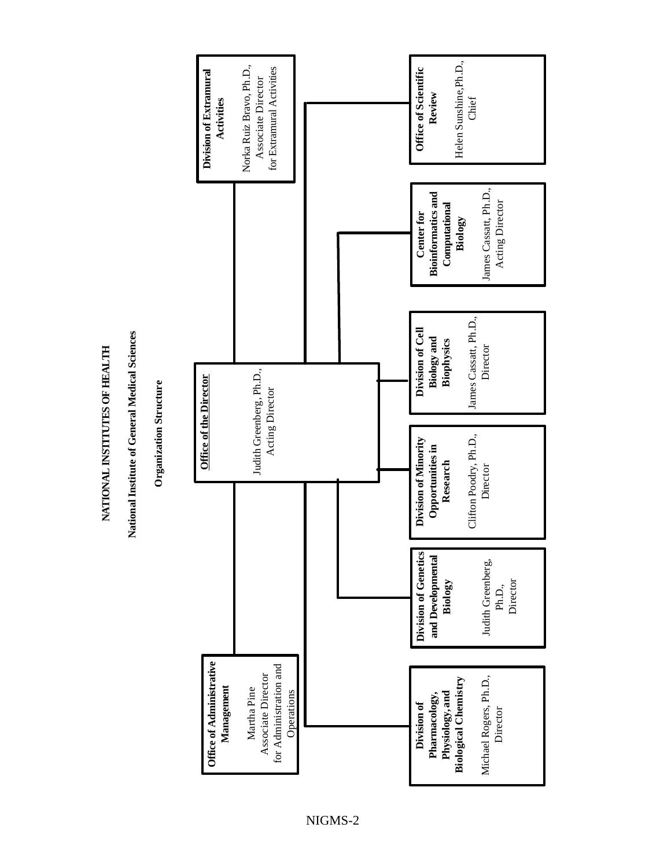NATIONAL INSTITUTES OF HEALTH **NATIONAL INSTITUTES OF HEALTH**

National Institute of General Medical Sciences **National Institute of General Medical Sciences**

Organization Structure **Organization Structure**

<span id="page-1-0"></span>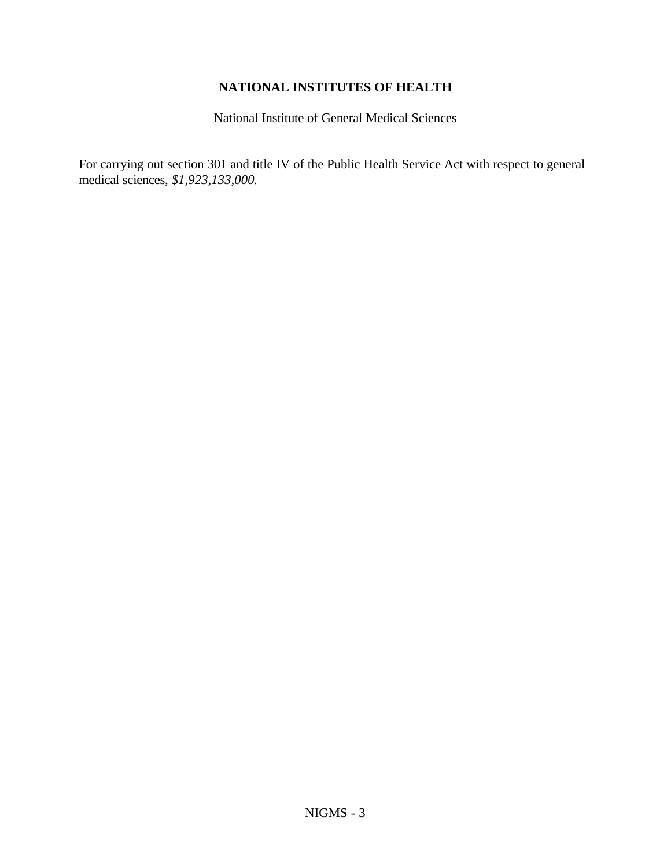## **NATIONAL INSTITUTES OF HEALTH**

National Institute of General Medical Sciences

<span id="page-2-0"></span>For carrying out section 301 and title IV of the Public Health Service Act with respect to general medical sciences, *\$1,923,133,000.*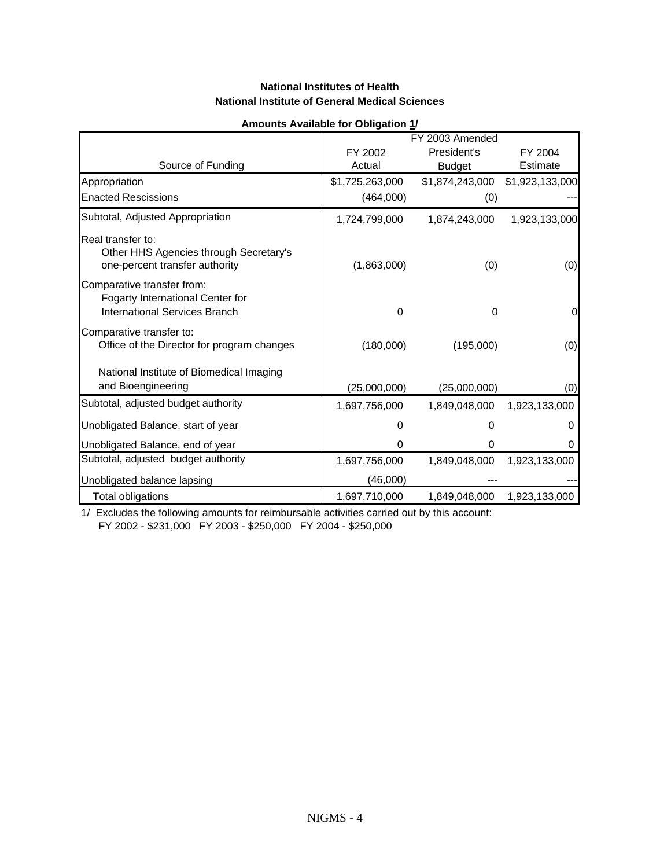#### **National Institutes of Health National Institute of General Medical Sciences**

<span id="page-3-0"></span>

|                                                                                                 | Alliounts Available for Obligation 17 |                 |                 |
|-------------------------------------------------------------------------------------------------|---------------------------------------|-----------------|-----------------|
|                                                                                                 |                                       | FY 2003 Amended |                 |
|                                                                                                 | FY 2002                               | President's     | FY 2004         |
| Source of Funding                                                                               | Actual                                | <b>Budget</b>   | Estimate        |
| Appropriation                                                                                   | \$1,725,263,000                       | \$1,874,243,000 | \$1,923,133,000 |
| <b>Enacted Rescissions</b>                                                                      | (464,000)                             | (0)             |                 |
| Subtotal, Adjusted Appropriation                                                                | 1,724,799,000                         | 1,874,243,000   | 1,923,133,000   |
| Real transfer to:<br>Other HHS Agencies through Secretary's<br>one-percent transfer authority   | (1,863,000)                           | (0)             | (0)             |
| Comparative transfer from:<br>Fogarty International Center for<br>International Services Branch | $\Omega$                              | 0               | 0               |
| Comparative transfer to:<br>Office of the Director for program changes                          | (180,000)                             | (195,000)       | (0)             |
| National Institute of Biomedical Imaging<br>and Bioengineering                                  | (25,000,000)                          | (25,000,000)    | (0)             |
| Subtotal, adjusted budget authority                                                             | 1,697,756,000                         | 1,849,048,000   | 1,923,133,000   |
| Unobligated Balance, start of year                                                              | 0                                     | O               | 0               |
| Unobligated Balance, end of year                                                                | 0                                     | 0               | 0               |
| Subtotal, adjusted budget authority                                                             | 1,697,756,000                         | 1,849,048,000   | 1,923,133,000   |
| Unobligated balance lapsing                                                                     | (46,000)                              |                 |                 |
| Total obligations                                                                               | 1,697,710,000                         | 1,849,048,000   | 1,923,133,000   |

#### **Amounts Available for Obligation 1/**

1/ Excludes the following amounts for reimbursable activities carried out by this account: FY 2002 - \$231,000 FY 2003 - \$250,000 FY 2004 - \$250,000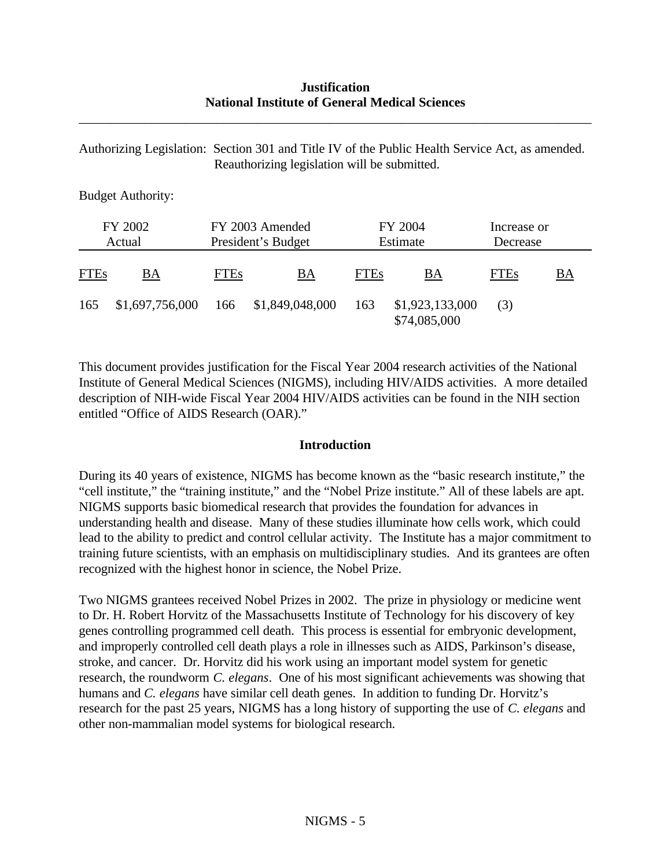### **Justification National Institute of General Medical Sciences**

<span id="page-4-0"></span>\_\_\_\_\_\_\_\_\_\_\_\_\_\_\_\_\_\_\_\_\_\_\_\_\_\_\_\_\_\_\_\_\_\_\_\_\_\_\_\_\_\_\_\_\_\_\_\_\_\_\_\_\_\_\_\_\_\_\_\_\_\_\_\_\_\_\_\_\_\_\_\_\_\_\_\_\_\_

Authorizing Legislation: Section 301 and Title IV of the Public Health Service Act, as amended. Reauthorizing legislation will be submitted.

Budget Authority:

|             | FY 2002<br>FY 2003 Amended<br>President's Budget<br>Actual |             |                     | FY 2004<br>Estimate | Increase or<br>Decrease         |             |           |
|-------------|------------------------------------------------------------|-------------|---------------------|---------------------|---------------------------------|-------------|-----------|
| <b>FTEs</b> | BA                                                         | <b>FTEs</b> | BA                  | <b>FTEs</b>         | BA                              | <b>FTEs</b> | <u>BA</u> |
| 165         | \$1,697,756,000                                            |             | 166 \$1,849,048,000 | 163                 | \$1,923,133,000<br>\$74,085,000 | (3)         |           |

This document provides justification for the Fiscal Year 2004 research activities of the National Institute of General Medical Sciences (NIGMS), including HIV/AIDS activities. A more detailed description of NIH-wide Fiscal Year 2004 HIV/AIDS activities can be found in the NIH section entitled "Office of AIDS Research (OAR)."

#### **Introduction**

During its 40 years of existence, NIGMS has become known as the "basic research institute," the "cell institute," the "training institute," and the "Nobel Prize institute." All of these labels are apt. NIGMS supports basic biomedical research that provides the foundation for advances in understanding health and disease. Many of these studies illuminate how cells work, which could lead to the ability to predict and control cellular activity. The Institute has a major commitment to training future scientists, with an emphasis on multidisciplinary studies. And its grantees are often recognized with the highest honor in science, the Nobel Prize.

Two NIGMS grantees received Nobel Prizes in 2002. The prize in physiology or medicine went to Dr. H. Robert Horvitz of the Massachusetts Institute of Technology for his discovery of key genes controlling programmed cell death. This process is essential for embryonic development, and improperly controlled cell death plays a role in illnesses such as AIDS, Parkinson's disease, stroke, and cancer. Dr. Horvitz did his work using an important model system for genetic research, the roundworm *C. elegans*.One of his most significant achievements was showing that humans and *C. elegans* have similar cell death genes. In addition to funding Dr. Horvitz's research for the past 25 years, NIGMS has a long history of supporting the use of *C. elegans* and other non-mammalian model systems for biological research.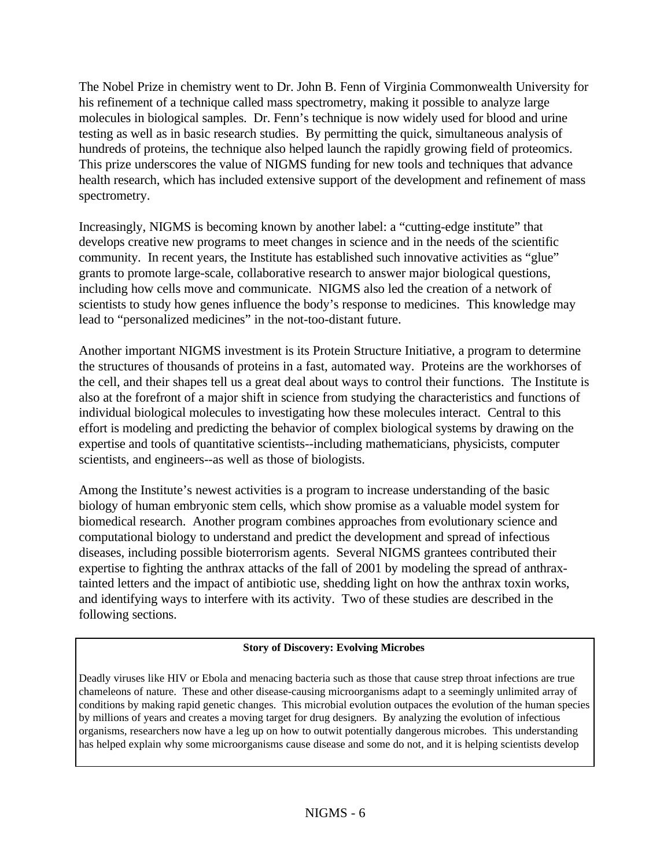The Nobel Prize in chemistry went to Dr. John B. Fenn of Virginia Commonwealth University for his refinement of a technique called mass spectrometry, making it possible to analyze large molecules in biological samples. Dr. Fenn's technique is now widely used for blood and urine testing as well as in basic research studies. By permitting the quick, simultaneous analysis of hundreds of proteins, the technique also helped launch the rapidly growing field of proteomics. This prize underscores the value of NIGMS funding for new tools and techniques that advance health research, which has included extensive support of the development and refinement of mass spectrometry.

Increasingly, NIGMS is becoming known by another label: a "cutting-edge institute" that develops creative new programs to meet changes in science and in the needs of the scientific community. In recent years, the Institute has established such innovative activities as "glue" grants to promote large-scale, collaborative research to answer major biological questions, including how cells move and communicate. NIGMS also led the creation of a network of scientists to study how genes influence the body's response to medicines. This knowledge may lead to "personalized medicines" in the not-too-distant future.

Another important NIGMS investment is its Protein Structure Initiative, a program to determine the structures of thousands of proteins in a fast, automated way. Proteins are the workhorses of the cell, and their shapes tell us a great deal about ways to control their functions. The Institute is also at the forefront of a major shift in science from studying the characteristics and functions of individual biological molecules to investigating how these molecules interact. Central to this effort is modeling and predicting the behavior of complex biological systems by drawing on the expertise and tools of quantitative scientists--including mathematicians, physicists, computer scientists, and engineers--as well as those of biologists.

Among the Institute's newest activities is a program to increase understanding of the basic biology of human embryonic stem cells, which show promise as a valuable model system for biomedical research. Another program combines approaches from evolutionary science and computational biology to understand and predict the development and spread of infectious diseases, including possible bioterrorism agents. Several NIGMS grantees contributed their expertise to fighting the anthrax attacks of the fall of 2001 by modeling the spread of anthraxtainted letters and the impact of antibiotic use, shedding light on how the anthrax toxin works, and identifying ways to interfere with its activity. Two of these studies are described in the following sections.

#### **Story of Discovery: Evolving Microbes**

Deadly viruses like HIV or Ebola and menacing bacteria such as those that cause strep throat infections are true chameleons of nature. These and other disease-causing microorganisms adapt to a seemingly unlimited array of conditions by making rapid genetic changes. This microbial evolution outpaces the evolution of the human species by millions of years and creates a moving target for drug designers. By analyzing the evolution of infectious organisms, researchers now have a leg up on how to outwit potentially dangerous microbes. This understanding has helped explain why some microorganisms cause disease and some do not, and it is helping scientists develop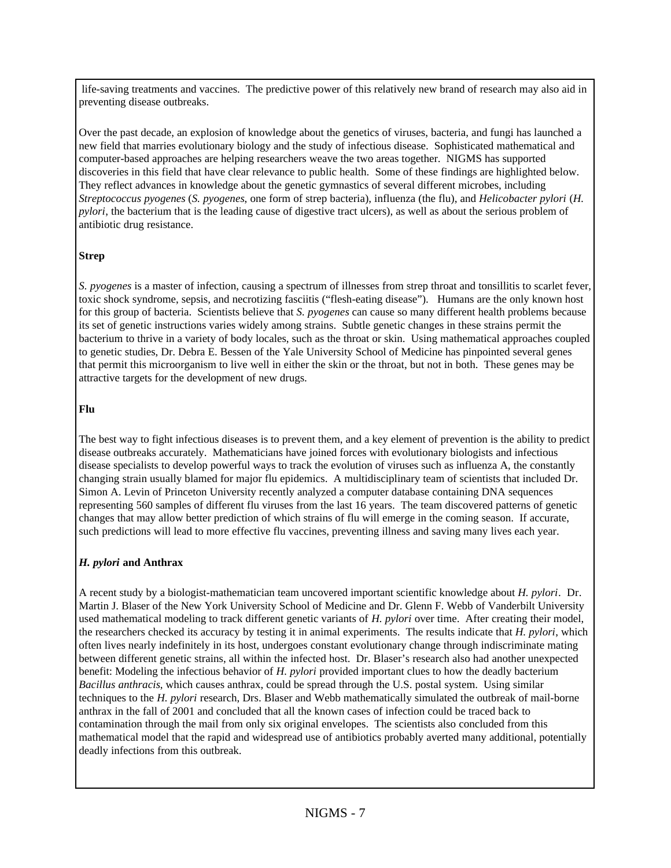life-saving treatments and vaccines. The predictive power of this relatively new brand of research may also aid in preventing disease outbreaks.

Over the past decade, an explosion of knowledge about the genetics of viruses, bacteria, and fungi has launched a new field that marries evolutionary biology and the study of infectious disease. Sophisticated mathematical and computer-based approaches are helping researchers weave the two areas together. NIGMS has supported discoveries in this field that have clear relevance to public health. Some of these findings are highlighted below. They reflect advances in knowledge about the genetic gymnastics of several different microbes, including *Streptococcus pyogenes* (*S. pyogenes*, one form of strep bacteria), influenza (the flu), and *Helicobacter pylori* (*H. pylori*, the bacterium that is the leading cause of digestive tract ulcers), as well as about the serious problem of antibiotic drug resistance.

#### **Strep**

*S. pyogenes* is a master of infection, causing a spectrum of illnesses from strep throat and tonsillitis to scarlet fever, toxic shock syndrome, sepsis, and necrotizing fasciitis ("flesh-eating disease"). Humans are the only known host for this group of bacteria. Scientists believe that *S. pyogenes* can cause so many different health problems because its set of genetic instructions varies widely among strains. Subtle genetic changes in these strains permit the bacterium to thrive in a variety of body locales, such as the throat or skin. Using mathematical approaches coupled to genetic studies, Dr. Debra E. Bessen of the Yale University School of Medicine has pinpointed several genes that permit this microorganism to live well in either the skin or the throat, but not in both. These genes may be attractive targets for the development of new drugs.

#### **Flu**

The best way to fight infectious diseases is to prevent them, and a key element of prevention is the ability to predict disease outbreaks accurately. Mathematicians have joined forces with evolutionary biologists and infectious disease specialists to develop powerful ways to track the evolution of viruses such as influenza A, the constantly changing strain usually blamed for major flu epidemics. A multidisciplinary team of scientists that included Dr. Simon A. Levin of Princeton University recently analyzed a computer database containing DNA sequences representing 560 samples of different flu viruses from the last 16 years. The team discovered patterns of genetic changes that may allow better prediction of which strains of flu will emerge in the coming season. If accurate, such predictions will lead to more effective flu vaccines, preventing illness and saving many lives each year.

#### *H. pylori* **and Anthrax**

A recent study by a biologist-mathematician team uncovered important scientific knowledge about *H. pylori*. Dr. Martin J. Blaser of the New York University School of Medicine and Dr. Glenn F. Webb of Vanderbilt University used mathematical modeling to track different genetic variants of *H. pylori* over time. After creating their model, the researchers checked its accuracy by testing it in animal experiments. The results indicate that *H. pylori*, which often lives nearly indefinitely in its host, undergoes constant evolutionary change through indiscriminate mating between different genetic strains, all within the infected host. Dr. Blaser's research also had another unexpected benefit: Modeling the infectious behavior of *H. pylori* provided important clues to how the deadly bacterium *Bacillus anthracis*, which causes anthrax, could be spread through the U.S. postal system. Using similar techniques to the *H. pylori* research, Drs. Blaser and Webb mathematically simulated the outbreak of mail-borne anthrax in the fall of 2001 and concluded that all the known cases of infection could be traced back to contamination through the mail from only six original envelopes. The scientists also concluded from this mathematical model that the rapid and widespread use of antibiotics probably averted many additional, potentially deadly infections from this outbreak.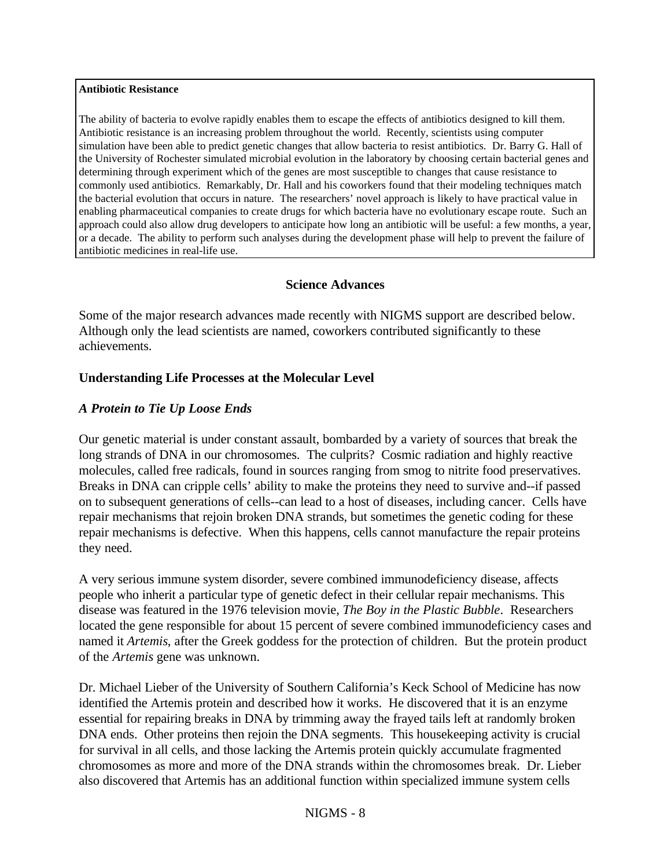#### **Antibiotic Resistance**

The ability of bacteria to evolve rapidly enables them to escape the effects of antibiotics designed to kill them. Antibiotic resistance is an increasing problem throughout the world. Recently, scientists using computer simulation have been able to predict genetic changes that allow bacteria to resist antibiotics. Dr. Barry G. Hall of the University of Rochester simulated microbial evolution in the laboratory by choosing certain bacterial genes and determining through experiment which of the genes are most susceptible to changes that cause resistance to commonly used antibiotics. Remarkably, Dr. Hall and his coworkers found that their modeling techniques match the bacterial evolution that occurs in nature. The researchers' novel approach is likely to have practical value in enabling pharmaceutical companies to create drugs for which bacteria have no evolutionary escape route. Such an approach could also allow drug developers to anticipate how long an antibiotic will be useful: a few months, a year, or a decade. The ability to perform such analyses during the development phase will help to prevent the failure of antibiotic medicines in real-life use.

#### **Science Advances**

Some of the major research advances made recently with NIGMS support are described below. Although only the lead scientists are named, coworkers contributed significantly to these achievements.

#### **Understanding Life Processes at the Molecular Level**

#### *A Protein to Tie Up Loose Ends*

Our genetic material is under constant assault, bombarded by a variety of sources that break the long strands of DNA in our chromosomes. The culprits? Cosmic radiation and highly reactive molecules, called free radicals, found in sources ranging from smog to nitrite food preservatives. Breaks in DNA can cripple cells' ability to make the proteins they need to survive and--if passed on to subsequent generations of cells--can lead to a host of diseases, including cancer. Cells have repair mechanisms that rejoin broken DNA strands, but sometimes the genetic coding for these repair mechanisms is defective. When this happens, cells cannot manufacture the repair proteins they need.

A very serious immune system disorder, severe combined immunodeficiency disease, affects people who inherit a particular type of genetic defect in their cellular repair mechanisms. This disease was featured in the 1976 television movie, *The Boy in the Plastic Bubble*. Researchers located the gene responsible for about 15 percent of severe combined immunodeficiency cases and named it *Artemis*, after the Greek goddess for the protection of children. But the protein product of the *Artemis* gene was unknown.

Dr. Michael Lieber of the University of Southern California's Keck School of Medicine has now identified the Artemis protein and described how it works. He discovered that it is an enzyme essential for repairing breaks in DNA by trimming away the frayed tails left at randomly broken DNA ends. Other proteins then rejoin the DNA segments. This housekeeping activity is crucial for survival in all cells, and those lacking the Artemis protein quickly accumulate fragmented chromosomes as more and more of the DNA strands within the chromosomes break. Dr. Lieber also discovered that Artemis has an additional function within specialized immune system cells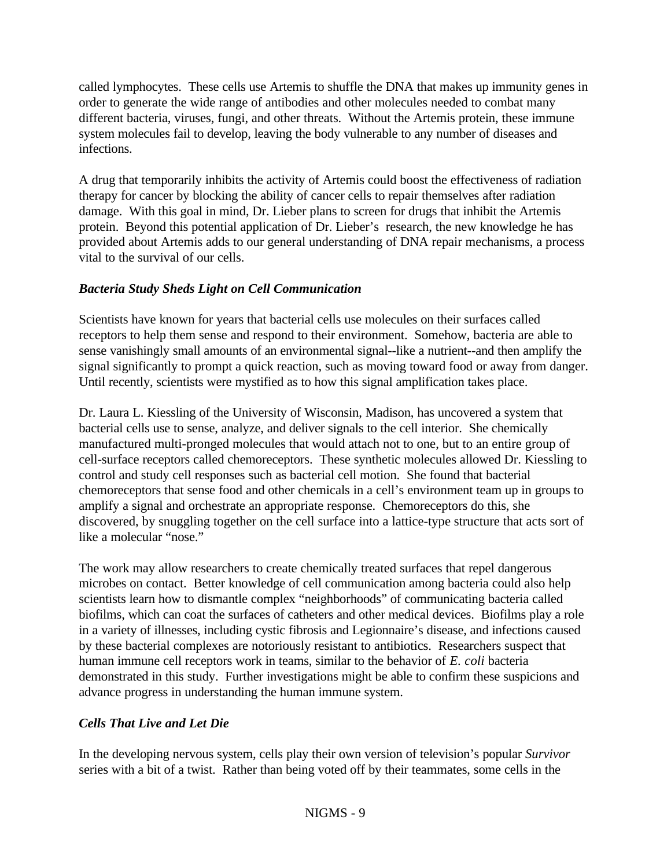called lymphocytes. These cells use Artemis to shuffle the DNA that makes up immunity genes in order to generate the wide range of antibodies and other molecules needed to combat many different bacteria, viruses, fungi, and other threats. Without the Artemis protein, these immune system molecules fail to develop, leaving the body vulnerable to any number of diseases and infections.

A drug that temporarily inhibits the activity of Artemis could boost the effectiveness of radiation therapy for cancer by blocking the ability of cancer cells to repair themselves after radiation damage. With this goal in mind, Dr. Lieber plans to screen for drugs that inhibit the Artemis protein. Beyond this potential application of Dr. Lieber's research, the new knowledge he has provided about Artemis adds to our general understanding of DNA repair mechanisms, a process vital to the survival of our cells.

## *Bacteria Study Sheds Light on Cell Communication*

Scientists have known for years that bacterial cells use molecules on their surfaces called receptors to help them sense and respond to their environment. Somehow, bacteria are able to sense vanishingly small amounts of an environmental signal--like a nutrient--and then amplify the signal significantly to prompt a quick reaction, such as moving toward food or away from danger. Until recently, scientists were mystified as to how this signal amplification takes place.

Dr. Laura L. Kiessling of the University of Wisconsin, Madison, has uncovered a system that bacterial cells use to sense, analyze, and deliver signals to the cell interior. She chemically manufactured multi-pronged molecules that would attach not to one, but to an entire group of cell-surface receptors called chemoreceptors. These synthetic molecules allowed Dr. Kiessling to control and study cell responses such as bacterial cell motion. She found that bacterial chemoreceptors that sense food and other chemicals in a cell's environment team up in groups to amplify a signal and orchestrate an appropriate response. Chemoreceptors do this, she discovered, by snuggling together on the cell surface into a lattice-type structure that acts sort of like a molecular "nose."

The work may allow researchers to create chemically treated surfaces that repel dangerous microbes on contact. Better knowledge of cell communication among bacteria could also help scientists learn how to dismantle complex "neighborhoods" of communicating bacteria called biofilms, which can coat the surfaces of catheters and other medical devices. Biofilms play a role in a variety of illnesses, including cystic fibrosis and Legionnaire's disease, and infections caused by these bacterial complexes are notoriously resistant to antibiotics. Researchers suspect that human immune cell receptors work in teams, similar to the behavior of *E. coli* bacteria demonstrated in this study. Further investigations might be able to confirm these suspicions and advance progress in understanding the human immune system.

## *Cells That Live and Let Die*

In the developing nervous system, cells play their own version of television's popular *Survivor* series with a bit of a twist. Rather than being voted off by their teammates, some cells in the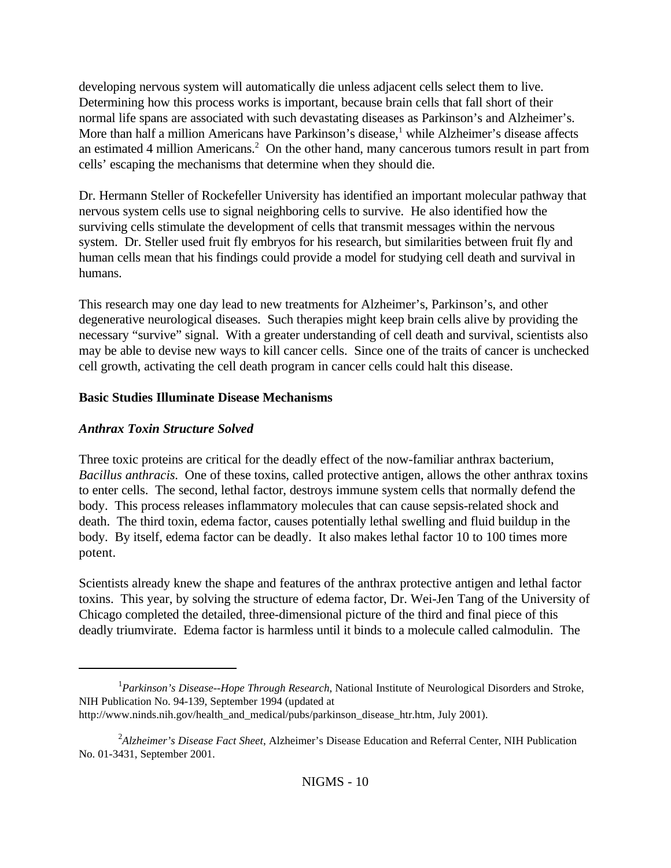developing nervous system will automatically die unless adjacent cells select them to live. Determining how this process works is important, because brain cells that fall short of their normal life spans are associated with such devastating diseases as Parkinson's and Alzheimer's. More than half a million Americans have Parkinson's disease,<sup>1</sup> while Alzheimer's disease affects an estimated 4 million Americans.<sup>2</sup> On the other hand, many cancerous tumors result in part from cells' escaping the mechanisms that determine when they should die.

Dr. Hermann Steller of Rockefeller University has identified an important molecular pathway that nervous system cells use to signal neighboring cells to survive. He also identified how the surviving cells stimulate the development of cells that transmit messages within the nervous system. Dr. Steller used fruit fly embryos for his research, but similarities between fruit fly and human cells mean that his findings could provide a model for studying cell death and survival in humans.

This research may one day lead to new treatments for Alzheimer's, Parkinson's, and other degenerative neurological diseases. Such therapies might keep brain cells alive by providing the necessary "survive" signal. With a greater understanding of cell death and survival, scientists also may be able to devise new ways to kill cancer cells. Since one of the traits of cancer is unchecked cell growth, activating the cell death program in cancer cells could halt this disease.

## **Basic Studies Illuminate Disease Mechanisms**

## *Anthrax Toxin Structure Solved*

Three toxic proteins are critical for the deadly effect of the now-familiar anthrax bacterium, *Bacillus anthracis*. One of these toxins, called protective antigen, allows the other anthrax toxins to enter cells. The second, lethal factor, destroys immune system cells that normally defend the body. This process releases inflammatory molecules that can cause sepsis-related shock and death. The third toxin, edema factor, causes potentially lethal swelling and fluid buildup in the body. By itself, edema factor can be deadly. It also makes lethal factor 10 to 100 times more potent.

Scientists already knew the shape and features of the anthrax protective antigen and lethal factor toxins. This year, by solving the structure of edema factor, Dr. Wei-Jen Tang of the University of Chicago completed the detailed, three-dimensional picture of the third and final piece of this deadly triumvirate. Edema factor is harmless until it binds to a molecule called calmodulin. The

<sup>&</sup>lt;sup>1</sup> Parkinson's Disease--Hope Through Research, National Institute of Neurological Disorders and Stroke, NIH Publication No. 94-139, September 1994 (updated at http://www.ninds.nih.gov/health\_and\_medical/pubs/parkinson\_disease\_htr.htm, July 2001).

<sup>2</sup> *Alzheimer's Disease Fact Sheet*, Alzheimer's Disease Education and Referral Center, NIH Publication No. 01-3431, September 2001.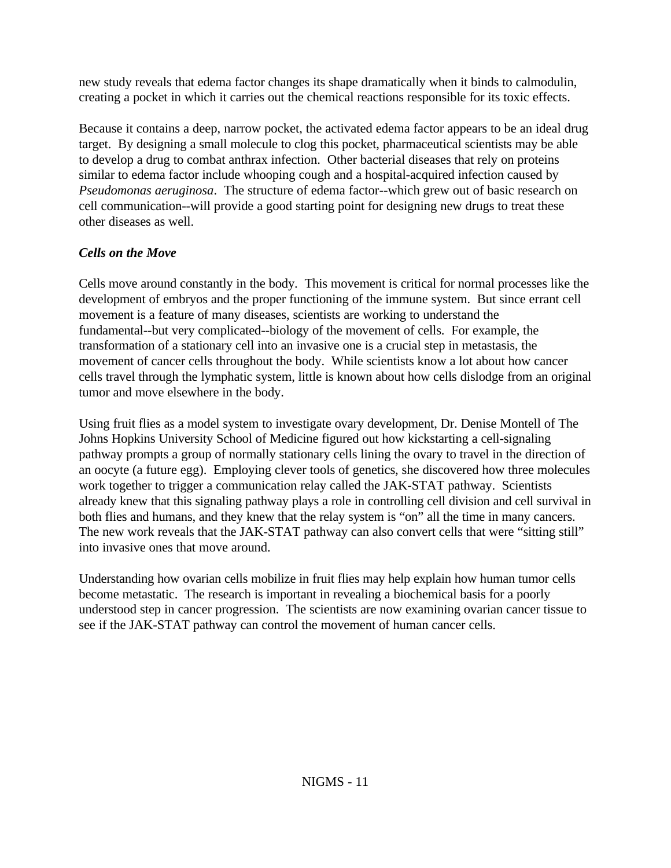new study reveals that edema factor changes its shape dramatically when it binds to calmodulin, creating a pocket in which it carries out the chemical reactions responsible for its toxic effects.

Because it contains a deep, narrow pocket, the activated edema factor appears to be an ideal drug target. By designing a small molecule to clog this pocket, pharmaceutical scientists may be able to develop a drug to combat anthrax infection. Other bacterial diseases that rely on proteins similar to edema factor include whooping cough and a hospital-acquired infection caused by *Pseudomonas aeruginosa*. The structure of edema factor--which grew out of basic research on cell communication--will provide a good starting point for designing new drugs to treat these other diseases as well.

# *Cells on the Move*

Cells move around constantly in the body. This movement is critical for normal processes like the development of embryos and the proper functioning of the immune system. But since errant cell movement is a feature of many diseases, scientists are working to understand the fundamental--but very complicated--biology of the movement of cells. For example, the transformation of a stationary cell into an invasive one is a crucial step in metastasis, the movement of cancer cells throughout the body. While scientists know a lot about how cancer cells travel through the lymphatic system, little is known about how cells dislodge from an original tumor and move elsewhere in the body.

Using fruit flies as a model system to investigate ovary development, Dr. Denise Montell of The Johns Hopkins University School of Medicine figured out how kickstarting a cell-signaling pathway prompts a group of normally stationary cells lining the ovary to travel in the direction of an oocyte (a future egg). Employing clever tools of genetics, she discovered how three molecules work together to trigger a communication relay called the JAK-STAT pathway. Scientists already knew that this signaling pathway plays a role in controlling cell division and cell survival in both flies and humans, and they knew that the relay system is "on" all the time in many cancers. The new work reveals that the JAK-STAT pathway can also convert cells that were "sitting still" into invasive ones that move around.

Understanding how ovarian cells mobilize in fruit flies may help explain how human tumor cells become metastatic. The research is important in revealing a biochemical basis for a poorly understood step in cancer progression. The scientists are now examining ovarian cancer tissue to see if the JAK-STAT pathway can control the movement of human cancer cells.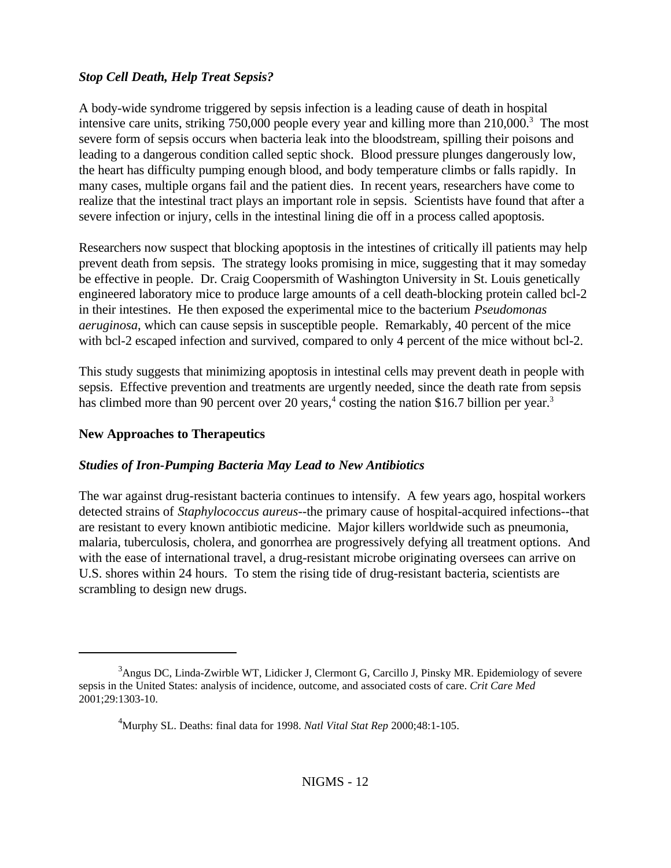## *Stop Cell Death, Help Treat Sepsis?*

A body-wide syndrome triggered by sepsis infection is a leading cause of death in hospital intensive care units, striking 750,000 people every year and killing more than 210,000.<sup>3</sup> The most severe form of sepsis occurs when bacteria leak into the bloodstream, spilling their poisons and leading to a dangerous condition called septic shock. Blood pressure plunges dangerously low, the heart has difficulty pumping enough blood, and body temperature climbs or falls rapidly. In many cases, multiple organs fail and the patient dies. In recent years, researchers have come to realize that the intestinal tract plays an important role in sepsis. Scientists have found that after a severe infection or injury, cells in the intestinal lining die off in a process called apoptosis.

Researchers now suspect that blocking apoptosis in the intestines of critically ill patients may help prevent death from sepsis. The strategy looks promising in mice, suggesting that it may someday be effective in people. Dr. Craig Coopersmith of Washington University in St. Louis genetically engineered laboratory mice to produce large amounts of a cell death-blocking protein called bcl-2 in their intestines. He then exposed the experimental mice to the bacterium *Pseudomonas aeruginosa*, which can cause sepsis in susceptible people. Remarkably, 40 percent of the mice with bcl-2 escaped infection and survived, compared to only 4 percent of the mice without bcl-2.

This study suggests that minimizing apoptosis in intestinal cells may prevent death in people with sepsis. Effective prevention and treatments are urgently needed, since the death rate from sepsis has climbed more than 90 percent over 20 years,<sup>4</sup> costing the nation \$16.7 billion per year.<sup>3</sup>

### **New Approaches to Therapeutics**

### *Studies of Iron-Pumping Bacteria May Lead to New Antibiotics*

The war against drug-resistant bacteria continues to intensify. A few years ago, hospital workers detected strains of *Staphylococcus aureus*--the primary cause of hospital-acquired infections--that are resistant to every known antibiotic medicine. Major killers worldwide such as pneumonia, malaria, tuberculosis, cholera, and gonorrhea are progressively defying all treatment options. And with the ease of international travel, a drug-resistant microbe originating oversees can arrive on U.S. shores within 24 hours. To stem the rising tide of drug-resistant bacteria, scientists are scrambling to design new drugs.

<sup>&</sup>lt;sup>3</sup>Angus DC, Linda-Zwirble WT, Lidicker J, Clermont G, Carcillo J, Pinsky MR. Epidemiology of severe sepsis in the United States: analysis of incidence, outcome, and associated costs of care. *Crit Care Med* 2001;29:1303-10.

<sup>4</sup>Murphy SL. Deaths: final data for 1998. *Natl Vital Stat Rep* 2000;48:1-105.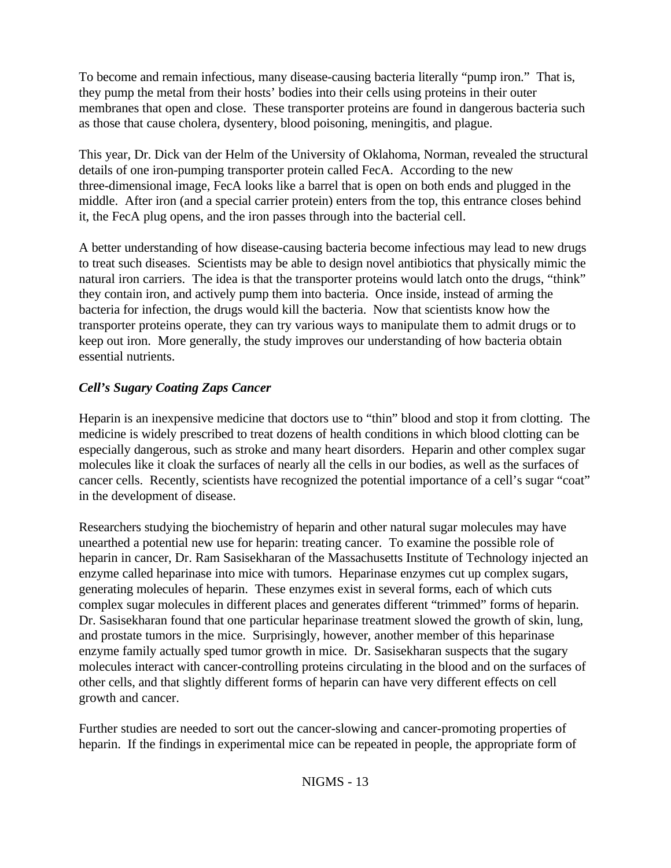To become and remain infectious, many disease-causing bacteria literally "pump iron." That is, they pump the metal from their hosts' bodies into their cells using proteins in their outer membranes that open and close. These transporter proteins are found in dangerous bacteria such as those that cause cholera, dysentery, blood poisoning, meningitis, and plague.

This year, Dr. Dick van der Helm of the University of Oklahoma, Norman, revealed the structural details of one iron-pumping transporter protein called FecA. According to the new three-dimensional image, FecA looks like a barrel that is open on both ends and plugged in the middle. After iron (and a special carrier protein) enters from the top, this entrance closes behind it, the FecA plug opens, and the iron passes through into the bacterial cell.

A better understanding of how disease-causing bacteria become infectious may lead to new drugs to treat such diseases. Scientists may be able to design novel antibiotics that physically mimic the natural iron carriers. The idea is that the transporter proteins would latch onto the drugs, "think" they contain iron, and actively pump them into bacteria. Once inside, instead of arming the bacteria for infection, the drugs would kill the bacteria. Now that scientists know how the transporter proteins operate, they can try various ways to manipulate them to admit drugs or to keep out iron. More generally, the study improves our understanding of how bacteria obtain essential nutrients.

# *Cell's Sugary Coating Zaps Cancer*

Heparin is an inexpensive medicine that doctors use to "thin" blood and stop it from clotting. The medicine is widely prescribed to treat dozens of health conditions in which blood clotting can be especially dangerous, such as stroke and many heart disorders. Heparin and other complex sugar molecules like it cloak the surfaces of nearly all the cells in our bodies, as well as the surfaces of cancer cells. Recently, scientists have recognized the potential importance of a cell's sugar "coat" in the development of disease.

Researchers studying the biochemistry of heparin and other natural sugar molecules may have unearthed a potential new use for heparin: treating cancer. To examine the possible role of heparin in cancer, Dr. Ram Sasisekharan of the Massachusetts Institute of Technology injected an enzyme called heparinase into mice with tumors. Heparinase enzymes cut up complex sugars, generating molecules of heparin. These enzymes exist in several forms, each of which cuts complex sugar molecules in different places and generates different "trimmed" forms of heparin. Dr. Sasisekharan found that one particular heparinase treatment slowed the growth of skin, lung, and prostate tumors in the mice. Surprisingly, however, another member of this heparinase enzyme family actually sped tumor growth in mice. Dr. Sasisekharan suspects that the sugary molecules interact with cancer-controlling proteins circulating in the blood and on the surfaces of other cells, and that slightly different forms of heparin can have very different effects on cell growth and cancer.

Further studies are needed to sort out the cancer-slowing and cancer-promoting properties of heparin. If the findings in experimental mice can be repeated in people, the appropriate form of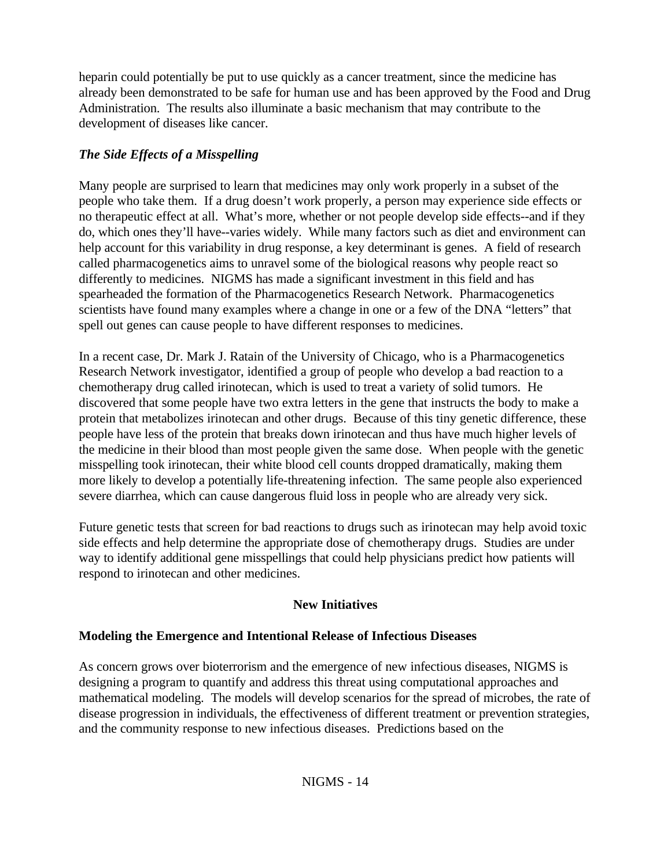heparin could potentially be put to use quickly as a cancer treatment, since the medicine has already been demonstrated to be safe for human use and has been approved by the Food and Drug Administration. The results also illuminate a basic mechanism that may contribute to the development of diseases like cancer.

# *The Side Effects of a Misspelling*

Many people are surprised to learn that medicines may only work properly in a subset of the people who take them. If a drug doesn't work properly, a person may experience side effects or no therapeutic effect at all. What's more, whether or not people develop side effects--and if they do, which ones they'll have--varies widely. While many factors such as diet and environment can help account for this variability in drug response, a key determinant is genes. A field of research called pharmacogenetics aims to unravel some of the biological reasons why people react so differently to medicines. NIGMS has made a significant investment in this field and has spearheaded the formation of the Pharmacogenetics Research Network. Pharmacogenetics scientists have found many examples where a change in one or a few of the DNA "letters" that spell out genes can cause people to have different responses to medicines.

In a recent case, Dr. Mark J. Ratain of the University of Chicago, who is a Pharmacogenetics Research Network investigator, identified a group of people who develop a bad reaction to a chemotherapy drug called irinotecan, which is used to treat a variety of solid tumors. He discovered that some people have two extra letters in the gene that instructs the body to make a protein that metabolizes irinotecan and other drugs. Because of this tiny genetic difference, these people have less of the protein that breaks down irinotecan and thus have much higher levels of the medicine in their blood than most people given the same dose. When people with the genetic misspelling took irinotecan, their white blood cell counts dropped dramatically, making them more likely to develop a potentially life-threatening infection. The same people also experienced severe diarrhea, which can cause dangerous fluid loss in people who are already very sick.

Future genetic tests that screen for bad reactions to drugs such as irinotecan may help avoid toxic side effects and help determine the appropriate dose of chemotherapy drugs. Studies are under way to identify additional gene misspellings that could help physicians predict how patients will respond to irinotecan and other medicines.

# **New Initiatives**

# **Modeling the Emergence and Intentional Release of Infectious Diseases**

As concern grows over bioterrorism and the emergence of new infectious diseases, NIGMS is designing a program to quantify and address this threat using computational approaches and mathematical modeling. The models will develop scenarios for the spread of microbes, the rate of disease progression in individuals, the effectiveness of different treatment or prevention strategies, and the community response to new infectious diseases. Predictions based on the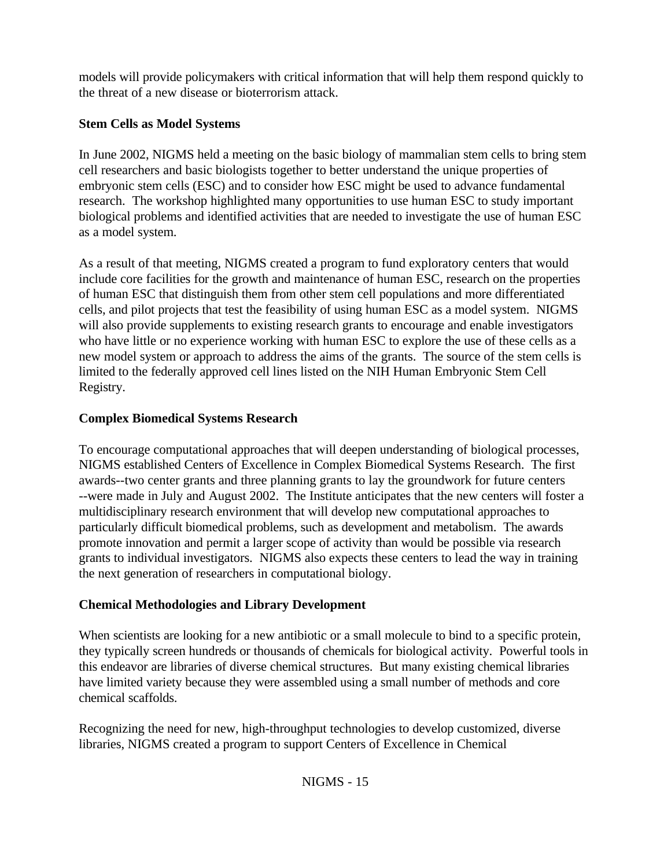models will provide policymakers with critical information that will help them respond quickly to the threat of a new disease or bioterrorism attack.

# **Stem Cells as Model Systems**

In June 2002, NIGMS held a meeting on the basic biology of mammalian stem cells to bring stem cell researchers and basic biologists together to better understand the unique properties of embryonic stem cells (ESC) and to consider how ESC might be used to advance fundamental research. The workshop highlighted many opportunities to use human ESC to study important biological problems and identified activities that are needed to investigate the use of human ESC as a model system.

As a result of that meeting, NIGMS created a program to fund exploratory centers that would include core facilities for the growth and maintenance of human ESC, research on the properties of human ESC that distinguish them from other stem cell populations and more differentiated cells, and pilot projects that test the feasibility of using human ESC as a model system. NIGMS will also provide supplements to existing research grants to encourage and enable investigators who have little or no experience working with human ESC to explore the use of these cells as a new model system or approach to address the aims of the grants. The source of the stem cells is limited to the federally approved cell lines listed on the NIH Human Embryonic Stem Cell Registry.

# **Complex Biomedical Systems Research**

To encourage computational approaches that will deepen understanding of biological processes, NIGMS established Centers of Excellence in Complex Biomedical Systems Research. The first awards--two center grants and three planning grants to lay the groundwork for future centers --were made in July and August 2002. The Institute anticipates that the new centers will foster a multidisciplinary research environment that will develop new computational approaches to particularly difficult biomedical problems, such as development and metabolism. The awards promote innovation and permit a larger scope of activity than would be possible via research grants to individual investigators. NIGMS also expects these centers to lead the way in training the next generation of researchers in computational biology.

# **Chemical Methodologies and Library Development**

When scientists are looking for a new antibiotic or a small molecule to bind to a specific protein, they typically screen hundreds or thousands of chemicals for biological activity. Powerful tools in this endeavor are libraries of diverse chemical structures. But many existing chemical libraries have limited variety because they were assembled using a small number of methods and core chemical scaffolds.

Recognizing the need for new, high-throughput technologies to develop customized, diverse libraries, NIGMS created a program to support Centers of Excellence in Chemical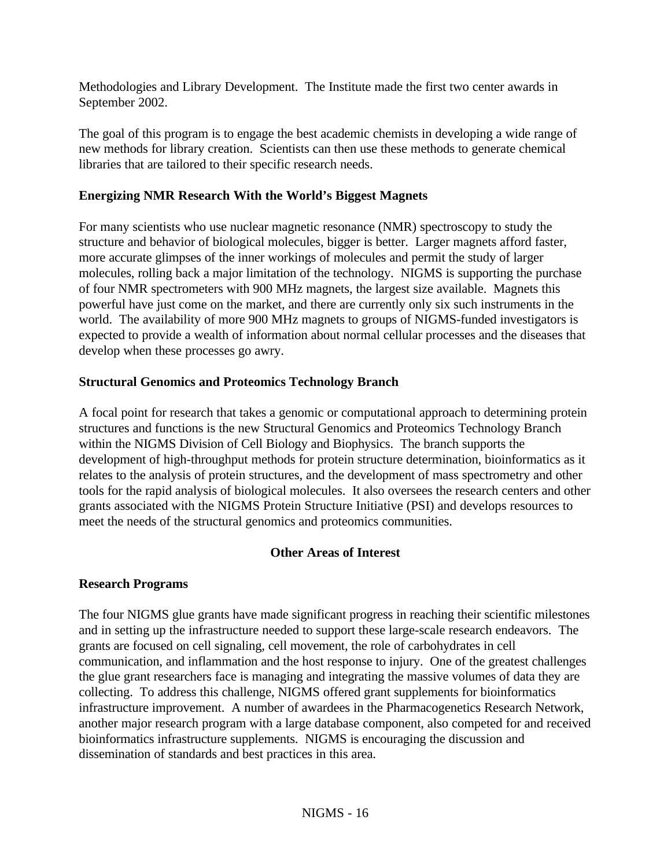Methodologies and Library Development. The Institute made the first two center awards in September 2002.

The goal of this program is to engage the best academic chemists in developing a wide range of new methods for library creation. Scientists can then use these methods to generate chemical libraries that are tailored to their specific research needs.

### **Energizing NMR Research With the World's Biggest Magnets**

For many scientists who use nuclear magnetic resonance (NMR) spectroscopy to study the structure and behavior of biological molecules, bigger is better. Larger magnets afford faster, more accurate glimpses of the inner workings of molecules and permit the study of larger molecules, rolling back a major limitation of the technology. NIGMS is supporting the purchase of four NMR spectrometers with 900 MHz magnets, the largest size available. Magnets this powerful have just come on the market, and there are currently only six such instruments in the world. The availability of more 900 MHz magnets to groups of NIGMS-funded investigators is expected to provide a wealth of information about normal cellular processes and the diseases that develop when these processes go awry.

### **Structural Genomics and Proteomics Technology Branch**

A focal point for research that takes a genomic or computational approach to determining protein structures and functions is the new Structural Genomics and Proteomics Technology Branch within the NIGMS Division of Cell Biology and Biophysics. The branch supports the development of high-throughput methods for protein structure determination, bioinformatics as it relates to the analysis of protein structures, and the development of mass spectrometry and other tools for the rapid analysis of biological molecules. It also oversees the research centers and other grants associated with the NIGMS Protein Structure Initiative (PSI) and develops resources to meet the needs of the structural genomics and proteomics communities.

### **Other Areas of Interest**

### **Research Programs**

The four NIGMS glue grants have made significant progress in reaching their scientific milestones and in setting up the infrastructure needed to support these large-scale research endeavors. The grants are focused on cell signaling, cell movement, the role of carbohydrates in cell communication, and inflammation and the host response to injury. One of the greatest challenges the glue grant researchers face is managing and integrating the massive volumes of data they are collecting. To address this challenge, NIGMS offered grant supplements for bioinformatics infrastructure improvement. A number of awardees in the Pharmacogenetics Research Network, another major research program with a large database component, also competed for and received bioinformatics infrastructure supplements. NIGMS is encouraging the discussion and dissemination of standards and best practices in this area.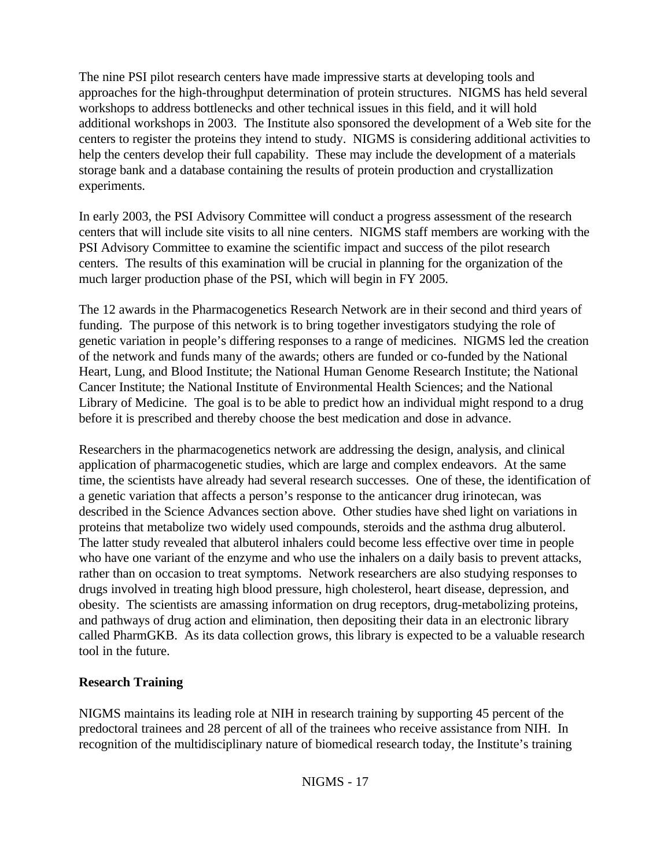The nine PSI pilot research centers have made impressive starts at developing tools and approaches for the high-throughput determination of protein structures. NIGMS has held several workshops to address bottlenecks and other technical issues in this field, and it will hold additional workshops in 2003. The Institute also sponsored the development of a Web site for the centers to register the proteins they intend to study. NIGMS is considering additional activities to help the centers develop their full capability. These may include the development of a materials storage bank and a database containing the results of protein production and crystallization experiments.

In early 2003, the PSI Advisory Committee will conduct a progress assessment of the research centers that will include site visits to all nine centers. NIGMS staff members are working with the PSI Advisory Committee to examine the scientific impact and success of the pilot research centers. The results of this examination will be crucial in planning for the organization of the much larger production phase of the PSI, which will begin in FY 2005.

The 12 awards in the Pharmacogenetics Research Network are in their second and third years of funding. The purpose of this network is to bring together investigators studying the role of genetic variation in people's differing responses to a range of medicines. NIGMS led the creation of the network and funds many of the awards; others are funded or co-funded by the National Heart, Lung, and Blood Institute; the National Human Genome Research Institute; the National Cancer Institute; the National Institute of Environmental Health Sciences; and the National Library of Medicine. The goal is to be able to predict how an individual might respond to a drug before it is prescribed and thereby choose the best medication and dose in advance.

Researchers in the pharmacogenetics network are addressing the design, analysis, and clinical application of pharmacogenetic studies, which are large and complex endeavors. At the same time, the scientists have already had several research successes. One of these, the identification of a genetic variation that affects a person's response to the anticancer drug irinotecan, was described in the Science Advances section above. Other studies have shed light on variations in proteins that metabolize two widely used compounds, steroids and the asthma drug albuterol. The latter study revealed that albuterol inhalers could become less effective over time in people who have one variant of the enzyme and who use the inhalers on a daily basis to prevent attacks, rather than on occasion to treat symptoms. Network researchers are also studying responses to drugs involved in treating high blood pressure, high cholesterol, heart disease, depression, and obesity. The scientists are amassing information on drug receptors, drug-metabolizing proteins, and pathways of drug action and elimination, then depositing their data in an electronic library called PharmGKB. As its data collection grows, this library is expected to be a valuable research tool in the future.

## **Research Training**

NIGMS maintains its leading role at NIH in research training by supporting 45 percent of the predoctoral trainees and 28 percent of all of the trainees who receive assistance from NIH. In recognition of the multidisciplinary nature of biomedical research today, the Institute's training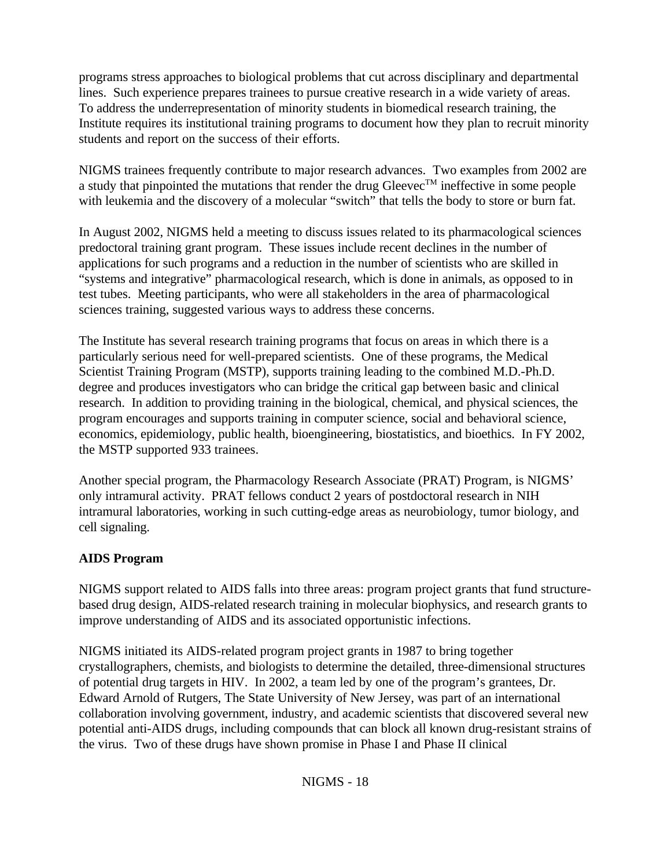programs stress approaches to biological problems that cut across disciplinary and departmental lines. Such experience prepares trainees to pursue creative research in a wide variety of areas. To address the underrepresentation of minority students in biomedical research training, the Institute requires its institutional training programs to document how they plan to recruit minority students and report on the success of their efforts.

NIGMS trainees frequently contribute to major research advances. Two examples from 2002 are a study that pinpointed the mutations that render the drug Gleevec<sup>TM</sup> ineffective in some people with leukemia and the discovery of a molecular "switch" that tells the body to store or burn fat.

In August 2002, NIGMS held a meeting to discuss issues related to its pharmacological sciences predoctoral training grant program. These issues include recent declines in the number of applications for such programs and a reduction in the number of scientists who are skilled in "systems and integrative" pharmacological research, which is done in animals, as opposed to in test tubes. Meeting participants, who were all stakeholders in the area of pharmacological sciences training, suggested various ways to address these concerns.

The Institute has several research training programs that focus on areas in which there is a particularly serious need for well-prepared scientists. One of these programs, the Medical Scientist Training Program (MSTP), supports training leading to the combined M.D.-Ph.D. degree and produces investigators who can bridge the critical gap between basic and clinical research. In addition to providing training in the biological, chemical, and physical sciences, the program encourages and supports training in computer science, social and behavioral science, economics, epidemiology, public health, bioengineering, biostatistics, and bioethics. In FY 2002, the MSTP supported 933 trainees.

Another special program, the Pharmacology Research Associate (PRAT) Program, is NIGMS' only intramural activity. PRAT fellows conduct 2 years of postdoctoral research in NIH intramural laboratories, working in such cutting-edge areas as neurobiology, tumor biology, and cell signaling.

## **AIDS Program**

NIGMS support related to AIDS falls into three areas: program project grants that fund structurebased drug design, AIDS-related research training in molecular biophysics, and research grants to improve understanding of AIDS and its associated opportunistic infections.

NIGMS initiated its AIDS-related program project grants in 1987 to bring together crystallographers, chemists, and biologists to determine the detailed, three-dimensional structures of potential drug targets in HIV. In 2002, a team led by one of the program's grantees, Dr. Edward Arnold of Rutgers, The State University of New Jersey, was part of an international collaboration involving government, industry, and academic scientists that discovered several new potential anti-AIDS drugs, including compounds that can block all known drug-resistant strains of the virus. Two of these drugs have shown promise in Phase I and Phase II clinical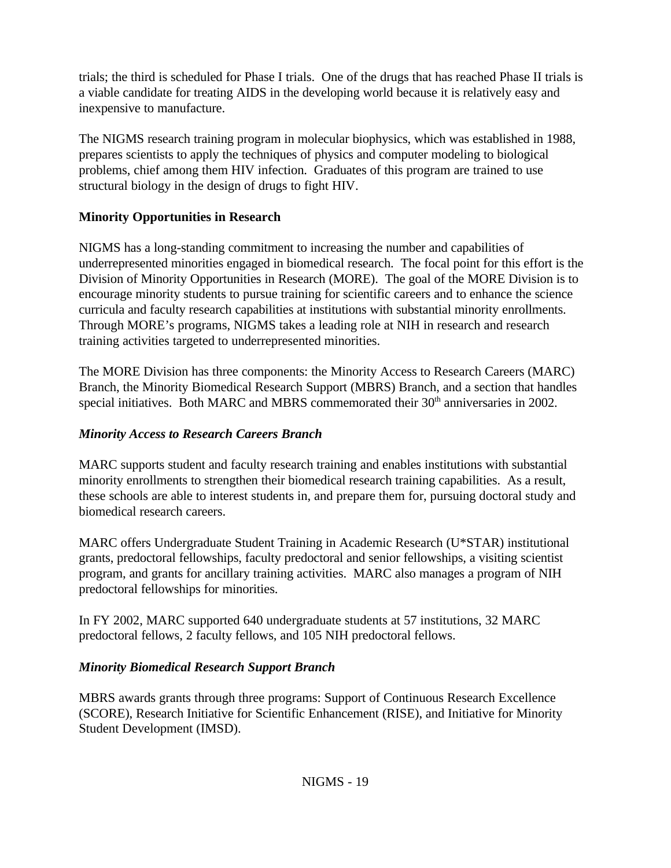trials; the third is scheduled for Phase I trials. One of the drugs that has reached Phase II trials is a viable candidate for treating AIDS in the developing world because it is relatively easy and inexpensive to manufacture.

The NIGMS research training program in molecular biophysics, which was established in 1988, prepares scientists to apply the techniques of physics and computer modeling to biological problems, chief among them HIV infection. Graduates of this program are trained to use structural biology in the design of drugs to fight HIV.

## **Minority Opportunities in Research**

NIGMS has a long-standing commitment to increasing the number and capabilities of underrepresented minorities engaged in biomedical research. The focal point for this effort is the Division of Minority Opportunities in Research (MORE). The goal of the MORE Division is to encourage minority students to pursue training for scientific careers and to enhance the science curricula and faculty research capabilities at institutions with substantial minority enrollments. Through MORE's programs, NIGMS takes a leading role at NIH in research and research training activities targeted to underrepresented minorities.

The MORE Division has three components: the Minority Access to Research Careers (MARC) Branch, the Minority Biomedical Research Support (MBRS) Branch, and a section that handles special initiatives. Both MARC and MBRS commemorated their 30<sup>th</sup> anniversaries in 2002.

# *Minority Access to Research Careers Branch*

MARC supports student and faculty research training and enables institutions with substantial minority enrollments to strengthen their biomedical research training capabilities. As a result, these schools are able to interest students in, and prepare them for, pursuing doctoral study and biomedical research careers.

MARC offers Undergraduate Student Training in Academic Research (U\*STAR) institutional grants, predoctoral fellowships, faculty predoctoral and senior fellowships, a visiting scientist program, and grants for ancillary training activities. MARC also manages a program of NIH predoctoral fellowships for minorities.

In FY 2002, MARC supported 640 undergraduate students at 57 institutions, 32 MARC predoctoral fellows, 2 faculty fellows, and 105 NIH predoctoral fellows.

# *Minority Biomedical Research Support Branch*

MBRS awards grants through three programs: Support of Continuous Research Excellence (SCORE), Research Initiative for Scientific Enhancement (RISE), and Initiative for Minority Student Development (IMSD).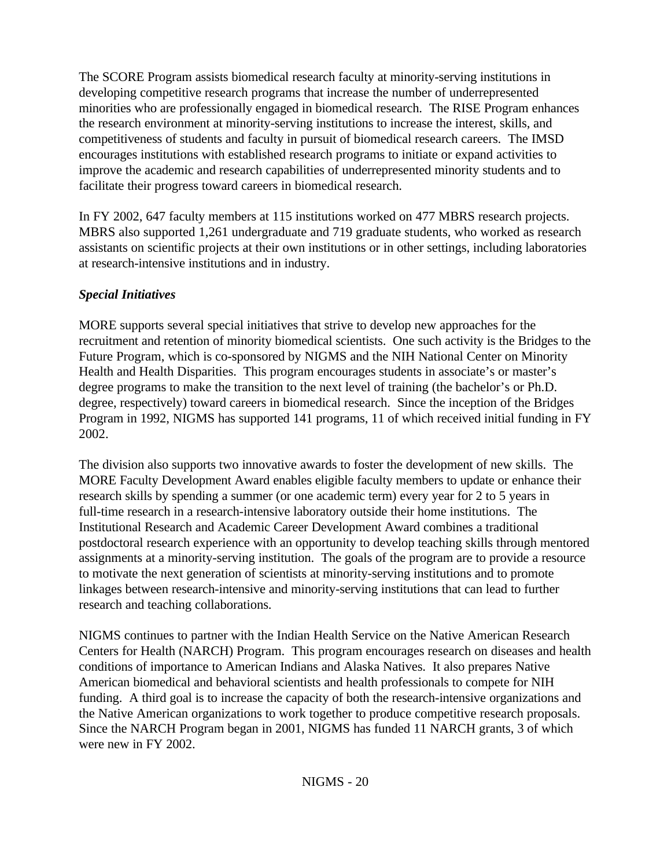The SCORE Program assists biomedical research faculty at minority-serving institutions in developing competitive research programs that increase the number of underrepresented minorities who are professionally engaged in biomedical research. The RISE Program enhances the research environment at minority-serving institutions to increase the interest, skills, and competitiveness of students and faculty in pursuit of biomedical research careers. The IMSD encourages institutions with established research programs to initiate or expand activities to improve the academic and research capabilities of underrepresented minority students and to facilitate their progress toward careers in biomedical research.

In FY 2002, 647 faculty members at 115 institutions worked on 477 MBRS research projects. MBRS also supported 1,261 undergraduate and 719 graduate students, who worked as research assistants on scientific projects at their own institutions or in other settings, including laboratories at research-intensive institutions and in industry.

## *Special Initiatives*

MORE supports several special initiatives that strive to develop new approaches for the recruitment and retention of minority biomedical scientists. One such activity is the Bridges to the Future Program, which is co-sponsored by NIGMS and the NIH National Center on Minority Health and Health Disparities. This program encourages students in associate's or master's degree programs to make the transition to the next level of training (the bachelor's or Ph.D. degree, respectively) toward careers in biomedical research. Since the inception of the Bridges Program in 1992, NIGMS has supported 141 programs, 11 of which received initial funding in FY 2002.

The division also supports two innovative awards to foster the development of new skills. The MORE Faculty Development Award enables eligible faculty members to update or enhance their research skills by spending a summer (or one academic term) every year for 2 to 5 years in full-time research in a research-intensive laboratory outside their home institutions. The Institutional Research and Academic Career Development Award combines a traditional postdoctoral research experience with an opportunity to develop teaching skills through mentored assignments at a minority-serving institution. The goals of the program are to provide a resource to motivate the next generation of scientists at minority-serving institutions and to promote linkages between research-intensive and minority-serving institutions that can lead to further research and teaching collaborations.

NIGMS continues to partner with the Indian Health Service on the Native American Research Centers for Health (NARCH) Program. This program encourages research on diseases and health conditions of importance to American Indians and Alaska Natives. It also prepares Native American biomedical and behavioral scientists and health professionals to compete for NIH funding. A third goal is to increase the capacity of both the research-intensive organizations and the Native American organizations to work together to produce competitive research proposals. Since the NARCH Program began in 2001, NIGMS has funded 11 NARCH grants, 3 of which were new in FY 2002.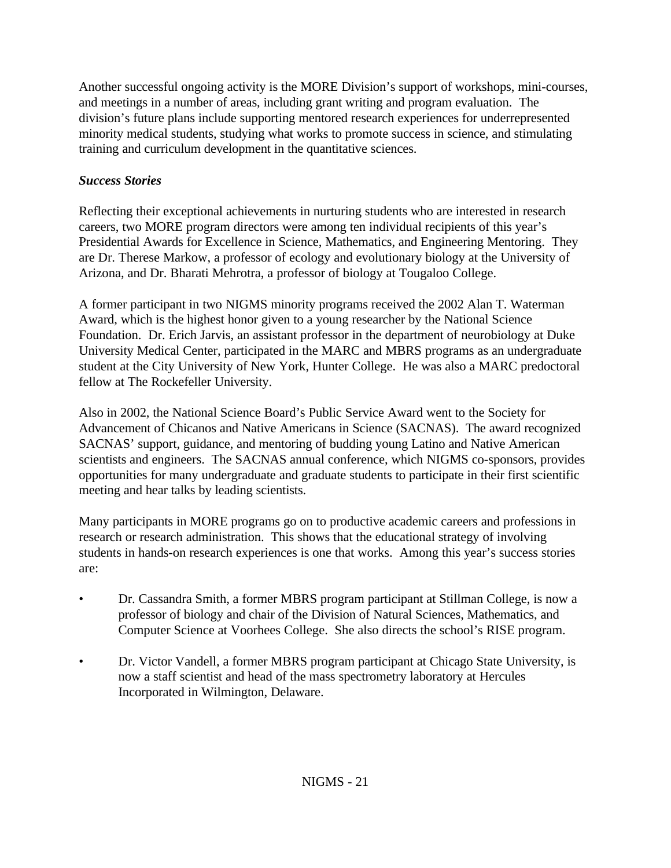Another successful ongoing activity is the MORE Division's support of workshops, mini-courses, and meetings in a number of areas, including grant writing and program evaluation. The division's future plans include supporting mentored research experiences for underrepresented minority medical students, studying what works to promote success in science, and stimulating training and curriculum development in the quantitative sciences.

# *Success Stories*

Reflecting their exceptional achievements in nurturing students who are interested in research careers, two MORE program directors were among ten individual recipients of this year's Presidential Awards for Excellence in Science, Mathematics, and Engineering Mentoring. They are Dr. Therese Markow, a professor of ecology and evolutionary biology at the University of Arizona, and Dr. Bharati Mehrotra, a professor of biology at Tougaloo College.

A former participant in two NIGMS minority programs received the 2002 Alan T. Waterman Award, which is the highest honor given to a young researcher by the National Science Foundation. Dr. Erich Jarvis, an assistant professor in the department of neurobiology at Duke University Medical Center, participated in the MARC and MBRS programs as an undergraduate student at the City University of New York, Hunter College. He was also a MARC predoctoral fellow at The Rockefeller University.

Also in 2002, the National Science Board's Public Service Award went to the Society for Advancement of Chicanos and Native Americans in Science (SACNAS). The award recognized SACNAS' support, guidance, and mentoring of budding young Latino and Native American scientists and engineers. The SACNAS annual conference, which NIGMS co-sponsors, provides opportunities for many undergraduate and graduate students to participate in their first scientific meeting and hear talks by leading scientists.

Many participants in MORE programs go on to productive academic careers and professions in research or research administration. This shows that the educational strategy of involving students in hands-on research experiences is one that works. Among this year's success stories are:

- Dr. Cassandra Smith, a former MBRS program participant at Stillman College, is now a professor of biology and chair of the Division of Natural Sciences, Mathematics, and Computer Science at Voorhees College. She also directs the school's RISE program.
- Dr. Victor Vandell, a former MBRS program participant at Chicago State University, is now a staff scientist and head of the mass spectrometry laboratory at Hercules Incorporated in Wilmington, Delaware.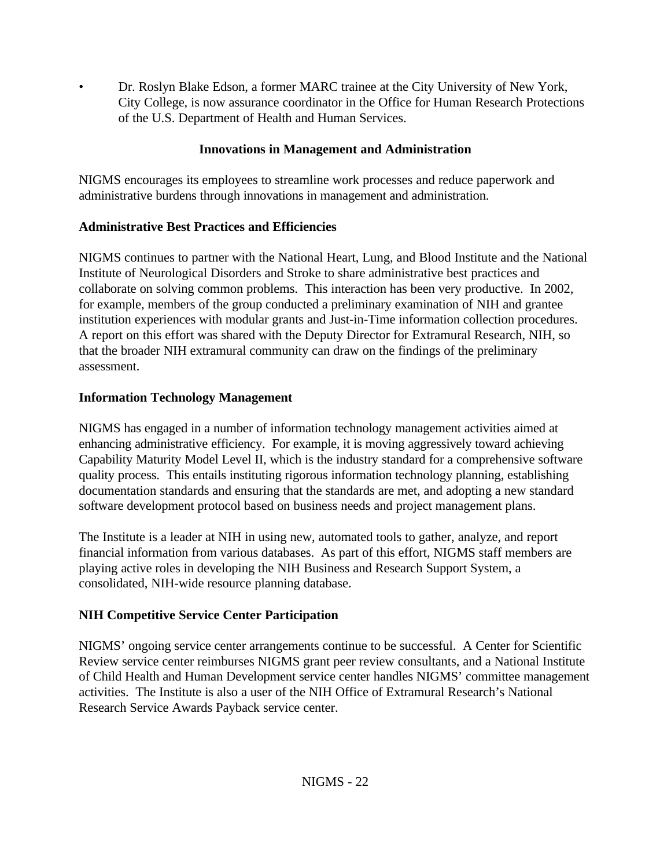• Dr. Roslyn Blake Edson, a former MARC trainee at the City University of New York, City College, is now assurance coordinator in the Office for Human Research Protections of the U.S. Department of Health and Human Services.

## **Innovations in Management and Administration**

NIGMS encourages its employees to streamline work processes and reduce paperwork and administrative burdens through innovations in management and administration.

## **Administrative Best Practices and Efficiencies**

NIGMS continues to partner with the National Heart, Lung, and Blood Institute and the National Institute of Neurological Disorders and Stroke to share administrative best practices and collaborate on solving common problems. This interaction has been very productive. In 2002, for example, members of the group conducted a preliminary examination of NIH and grantee institution experiences with modular grants and Just-in-Time information collection procedures. A report on this effort was shared with the Deputy Director for Extramural Research, NIH, so that the broader NIH extramural community can draw on the findings of the preliminary assessment.

# **Information Technology Management**

NIGMS has engaged in a number of information technology management activities aimed at enhancing administrative efficiency. For example, it is moving aggressively toward achieving Capability Maturity Model Level II, which is the industry standard for a comprehensive software quality process. This entails instituting rigorous information technology planning, establishing documentation standards and ensuring that the standards are met, and adopting a new standard software development protocol based on business needs and project management plans.

The Institute is a leader at NIH in using new, automated tools to gather, analyze, and report financial information from various databases. As part of this effort, NIGMS staff members are playing active roles in developing the NIH Business and Research Support System, a consolidated, NIH-wide resource planning database.

# **NIH Competitive Service Center Participation**

NIGMS' ongoing service center arrangements continue to be successful. A Center for Scientific Review service center reimburses NIGMS grant peer review consultants, and a National Institute of Child Health and Human Development service center handles NIGMS' committee management activities. The Institute is also a user of the NIH Office of Extramural Research's National Research Service Awards Payback service center.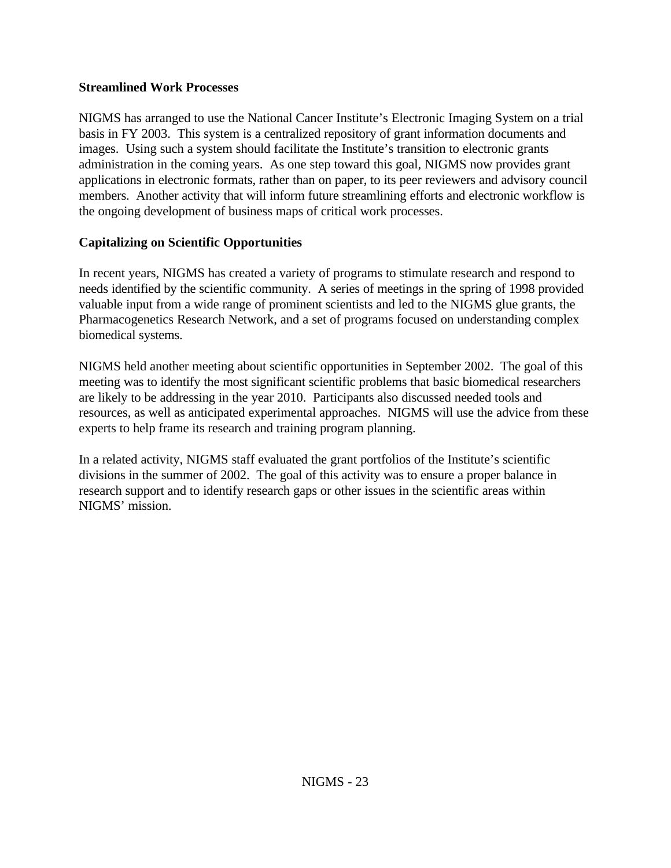### **Streamlined Work Processes**

NIGMS has arranged to use the National Cancer Institute's Electronic Imaging System on a trial basis in FY 2003. This system is a centralized repository of grant information documents and images. Using such a system should facilitate the Institute's transition to electronic grants administration in the coming years. As one step toward this goal, NIGMS now provides grant applications in electronic formats, rather than on paper, to its peer reviewers and advisory council members. Another activity that will inform future streamlining efforts and electronic workflow is the ongoing development of business maps of critical work processes.

## **Capitalizing on Scientific Opportunities**

In recent years, NIGMS has created a variety of programs to stimulate research and respond to needs identified by the scientific community. A series of meetings in the spring of 1998 provided valuable input from a wide range of prominent scientists and led to the NIGMS glue grants, the Pharmacogenetics Research Network, and a set of programs focused on understanding complex biomedical systems.

NIGMS held another meeting about scientific opportunities in September 2002. The goal of this meeting was to identify the most significant scientific problems that basic biomedical researchers are likely to be addressing in the year 2010. Participants also discussed needed tools and resources, as well as anticipated experimental approaches. NIGMS will use the advice from these experts to help frame its research and training program planning.

In a related activity, NIGMS staff evaluated the grant portfolios of the Institute's scientific divisions in the summer of 2002. The goal of this activity was to ensure a proper balance in research support and to identify research gaps or other issues in the scientific areas within NIGMS' mission.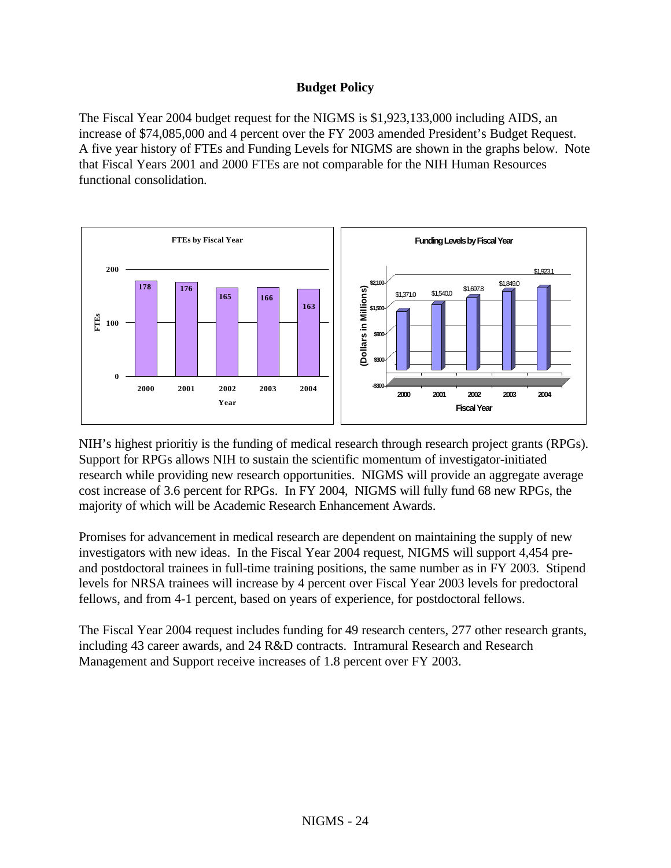### **Budget Policy**

The Fiscal Year 2004 budget request for the NIGMS is \$1,923,133,000 including AIDS, an increase of \$74,085,000 and 4 percent over the FY 2003 amended President's Budget Request. A five year history of FTEs and Funding Levels for NIGMS are shown in the graphs below. Note that Fiscal Years 2001 and 2000 FTEs are not comparable for the NIH Human Resources functional consolidation.



NIH's highest prioritiy is the funding of medical research through research project grants (RPGs). Support for RPGs allows NIH to sustain the scientific momentum of investigator-initiated research while providing new research opportunities. NIGMS will provide an aggregate average cost increase of 3.6 percent for RPGs. In FY 2004, NIGMS will fully fund 68 new RPGs, the majority of which will be Academic Research Enhancement Awards.

Promises for advancement in medical research are dependent on maintaining the supply of new investigators with new ideas. In the Fiscal Year 2004 request, NIGMS will support 4,454 preand postdoctoral trainees in full-time training positions, the same number as in FY 2003. Stipend levels for NRSA trainees will increase by 4 percent over Fiscal Year 2003 levels for predoctoral fellows, and from 4-1 percent, based on years of experience, for postdoctoral fellows.

The Fiscal Year 2004 request includes funding for 49 research centers, 277 other research grants, including 43 career awards, and 24 R&D contracts. Intramural Research and Research Management and Support receive increases of 1.8 percent over FY 2003.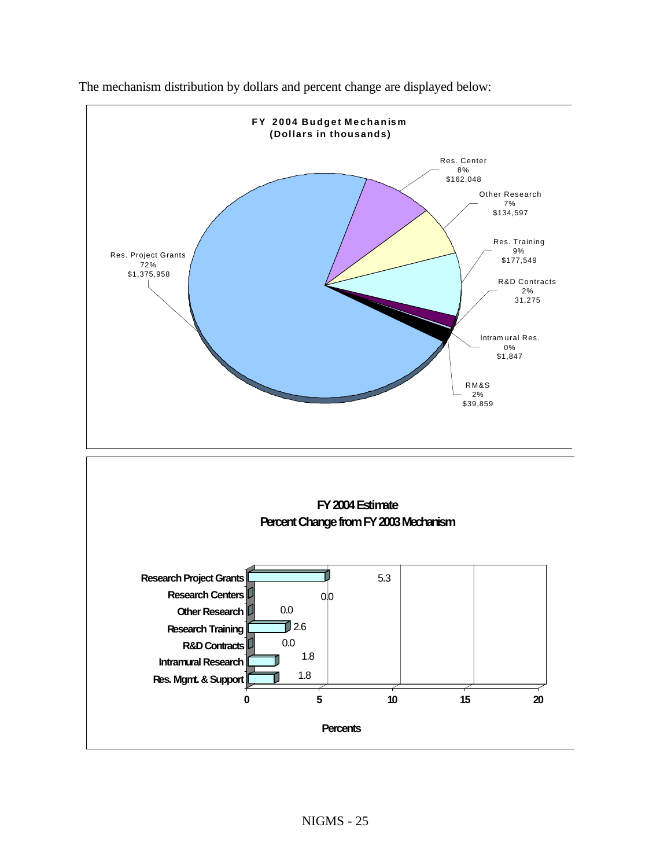

The mechanism distribution by dollars and percent change are displayed below: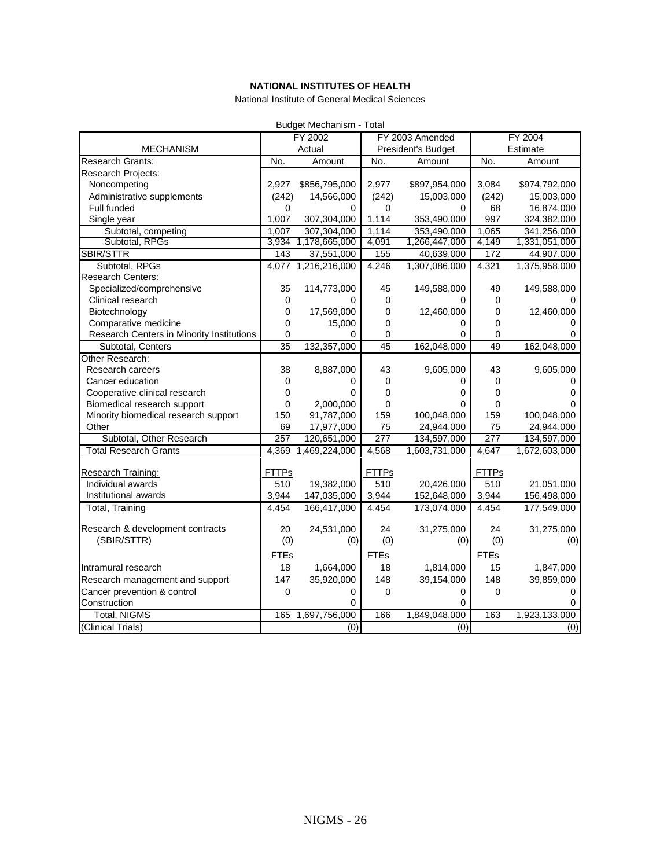#### **NATIONAL INSTITUTES OF HEALTH**

National Institute of General Medical Sciences

<span id="page-25-0"></span>

|                                           |                  | Budget Mechanism - Total  |                    |                           |                  |                           |
|-------------------------------------------|------------------|---------------------------|--------------------|---------------------------|------------------|---------------------------|
|                                           |                  | FY 2002                   | FY 2003 Amended    |                           | FY 2004          |                           |
| <b>MECHANISM</b>                          | Actual           |                           | President's Budget |                           |                  | Estimate                  |
| Research Grants:                          | No.              | Amount                    | No.                | Amount                    | No.              | Amount                    |
| Research Projects:                        |                  |                           |                    |                           |                  |                           |
| Noncompeting                              | 2,927            | \$856,795,000             | 2,977              | \$897,954,000             | 3,084            | \$974,792,000             |
| Administrative supplements                | (242)            | 14,566,000                | (242)              | 15,003,000                | (242)            | 15,003,000                |
| Full funded                               | 0                | 0                         | 0                  | 0                         | 68               | 16,874,000                |
| Single year                               | 1,007            | 307,304,000               | 1,114              | 353,490,000               | 997              | 324,382,000               |
| Subtotal, competing                       | 1.007            | 307,304,000               | 1,114              | 353,490,000               | 1,065            | 341,256,000               |
| Subtotal, RPGs                            | 3,934            | 1,178,665,000             | 4,091              | 1,266,447,000             | 4,149            | 1,331,051,000             |
| SBIR/STTR                                 | 143              | 37,551,000                | 155                | 40,639,000                | 172              | 44,907,000                |
| Subtotal, RPGs                            |                  | 4,077 1,216,216,000       | 4,246              | 1,307,086,000             | 4,321            | 1,375,958,000             |
| <b>Research Centers:</b>                  |                  |                           |                    |                           |                  |                           |
| Specialized/comprehensive                 | 35               | 114,773,000               | 45                 | 149,588,000               | 49               | 149,588,000               |
| Clinical research                         | $\Omega$         | 0                         | 0                  | O                         | 0                |                           |
| Biotechnology                             | 0                | 17,569,000                | 0                  | 12,460,000                | 0                | 12,460,000                |
| Comparative medicine                      | 0                | 15,000                    | 0                  | 0                         | 0                | 0                         |
| Research Centers in Minority Institutions | 0                | 0                         | 0                  | 0                         | 0                |                           |
| Subtotal, Centers                         | $\overline{35}$  | 132,357,000               | 45                 | 162,048,000               | 49               | 162,048,000               |
| Other Research:                           |                  |                           |                    |                           |                  |                           |
| Research careers                          | 38               | 8,887,000                 | 43                 | 9,605,000                 | 43               | 9,605,000                 |
| Cancer education                          | 0                | 0                         | $\mathbf 0$        | 0                         | 0                | 0                         |
| Cooperative clinical research             | 0                | 0                         | 0                  | 0                         | 0                | 0                         |
| Biomedical research support               | 0                | 2,000,000                 | 0                  | 0                         | 0                | $\Omega$                  |
| Minority biomedical research support      | 150              | 91,787,000                | 159                | 100,048,000               | 159              | 100,048,000               |
| Other                                     | 69               | 17,977,000                | 75                 | 24,944,000                | 75               | 24,944,000                |
| Subtotal, Other Research                  | $\overline{257}$ | 120,651,000               | 277                | 134,597,000               | $\overline{277}$ | 134,597,000               |
| <b>Total Research Grants</b>              | 4,369            | 1,469,224,000             | 4,568              | 1,603,731,000             | 4,647            | 1,672,603,000             |
|                                           |                  |                           |                    |                           |                  |                           |
| Research Training:<br>Individual awards   | FTTPs            |                           | <b>FTTPs</b>       |                           | <b>FTTPs</b>     |                           |
| Institutional awards                      | 510<br>3,944     | 19,382,000<br>147,035,000 | 510<br>3,944       | 20,426,000<br>152,648,000 | 510<br>3,944     | 21,051,000<br>156,498,000 |
| Total, Training                           | 4,454            | 166,417,000               | 4,454              | 173,074,000               | 4,454            | 177,549,000               |
|                                           |                  |                           |                    |                           |                  |                           |
| Research & development contracts          | 20               | 24,531,000                | 24                 | 31,275,000                | 24               | 31,275,000                |
| (SBIR/STTR)                               | (0)              | (0)                       | (0)                | (0)                       | (0)              | (0)                       |
|                                           | FTEs             |                           | <b>FTEs</b>        |                           | <b>FTEs</b>      |                           |
| Intramural research                       | 18               | 1,664,000                 | 18                 | 1,814,000                 | 15               | 1,847,000                 |
| Research management and support           | 147              | 35,920,000                | 148                | 39,154,000                | 148              | 39,859,000                |
| Cancer prevention & control               | 0                | 0                         | 0                  | 0                         | $\mathbf{0}$     |                           |
| Construction                              |                  | 0                         |                    | 0                         |                  | O                         |
| Total, NIGMS                              | 165              | 1,697,756,000             | 166                | 1,849,048,000             | 163              | 1,923,133,000             |
| (Clinical Trials)                         |                  | (0)                       |                    | (0)                       |                  | (0)                       |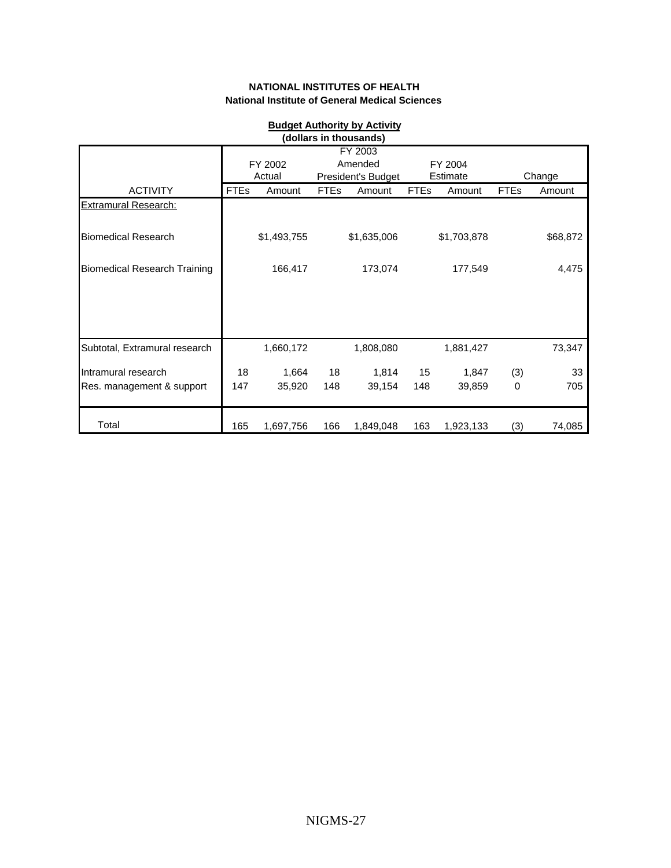<span id="page-26-0"></span>

| <b>Budget Authority by Activity</b><br>(dollars in thousands) |             |                   |             |                                          |             |                     |             |          |
|---------------------------------------------------------------|-------------|-------------------|-------------|------------------------------------------|-------------|---------------------|-------------|----------|
|                                                               |             | FY 2002<br>Actual |             | FY 2003<br>Amended<br>President's Budget |             | FY 2004<br>Estimate |             | Change   |
| <b>ACTIVITY</b>                                               | <b>FTEs</b> | Amount            | <b>FTEs</b> | Amount                                   | <b>FTEs</b> | Amount              | <b>FTEs</b> | Amount   |
| <b>Extramural Research:</b>                                   |             |                   |             |                                          |             |                     |             |          |
| <b>Biomedical Research</b>                                    |             | \$1,493,755       |             | \$1,635,006                              |             | \$1,703,878         |             | \$68,872 |
| <b>Biomedical Research Training</b>                           |             | 166,417           |             | 173,074                                  |             | 177,549             |             | 4,475    |
|                                                               |             |                   |             |                                          |             |                     |             |          |
| Subtotal, Extramural research                                 |             | 1,660,172         |             | 1,808,080                                |             | 1,881,427           |             | 73,347   |
| Intramural research                                           | 18          | 1,664             | 18          | 1,814                                    | 15          | 1,847               | (3)         | 33       |
| Res. management & support                                     | 147         | 35,920            | 148         | 39,154                                   | 148         | 39,859              | $\mathbf 0$ | 705      |
| Total                                                         | 165         | 1,697,756         | 166         | 1,849,048                                | 163         | 1,923,133           | (3)         | 74,085   |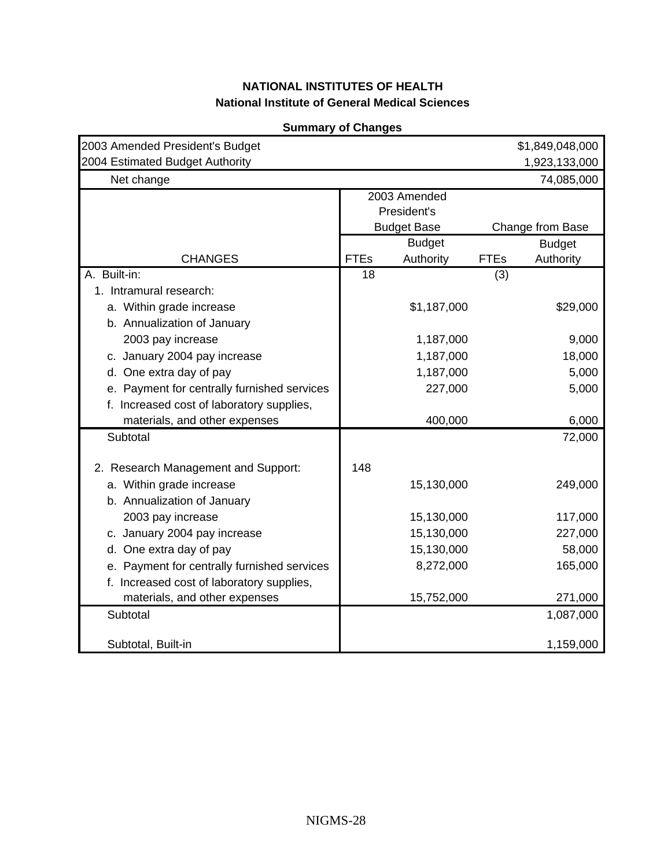<span id="page-27-0"></span>

| 2003 Amended President's Budget             |             |                    |             | \$1,849,048,000  |
|---------------------------------------------|-------------|--------------------|-------------|------------------|
| 2004 Estimated Budget Authority             |             |                    |             | 1,923,133,000    |
| Net change                                  |             |                    |             | 74,085,000       |
|                                             |             | 2003 Amended       |             |                  |
|                                             |             | President's        |             |                  |
|                                             |             | <b>Budget Base</b> |             | Change from Base |
|                                             |             | <b>Budget</b>      |             | <b>Budget</b>    |
| <b>CHANGES</b>                              | <b>FTEs</b> | Authority          | <b>FTEs</b> | Authority        |
| A. Built-in:                                | 18          |                    | (3)         |                  |
| 1. Intramural research:                     |             |                    |             |                  |
| a. Within grade increase                    |             | \$1,187,000        |             | \$29,000         |
| b. Annualization of January                 |             |                    |             |                  |
| 2003 pay increase                           |             | 1,187,000          |             | 9,000            |
| c. January 2004 pay increase                |             | 1,187,000          |             | 18,000           |
| d. One extra day of pay                     |             | 1,187,000          |             | 5,000            |
| e. Payment for centrally furnished services |             | 227,000            |             | 5,000            |
| f. Increased cost of laboratory supplies,   |             |                    |             |                  |
| materials, and other expenses               |             | 400,000            |             | 6,000            |
| Subtotal                                    |             |                    |             | 72,000           |
|                                             |             |                    |             |                  |
| 2. Research Management and Support:         | 148         |                    |             |                  |
| a. Within grade increase                    |             | 15,130,000         |             | 249,000          |
| b. Annualization of January                 |             |                    |             |                  |
| 2003 pay increase                           |             | 15,130,000         |             | 117,000          |
| c. January 2004 pay increase                |             | 15,130,000         |             | 227,000          |
| d. One extra day of pay                     |             | 15,130,000         |             | 58,000           |
| e. Payment for centrally furnished services |             | 8,272,000          |             | 165,000          |
| f. Increased cost of laboratory supplies,   |             |                    |             |                  |
| materials, and other expenses               |             | 15,752,000         |             | 271,000          |
| Subtotal                                    |             |                    |             | 1,087,000        |
|                                             |             |                    |             |                  |
| Subtotal, Built-in                          |             |                    |             | 1,159,000        |

#### **Summary of Changes**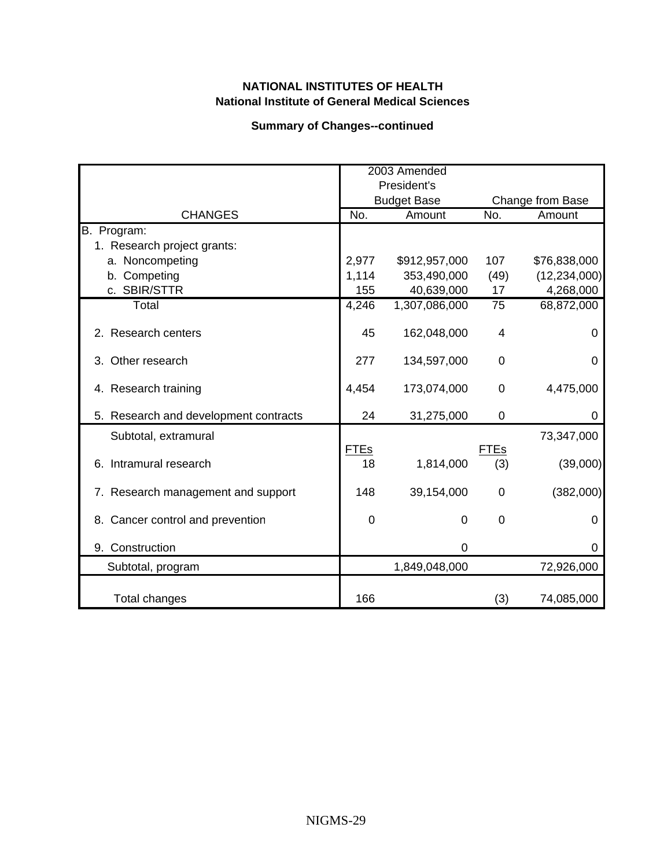### **Summary of Changes--continued**

|                                       |                   | 2003 Amended<br>President's |                    |                  |
|---------------------------------------|-------------------|-----------------------------|--------------------|------------------|
|                                       |                   | <b>Budget Base</b>          |                    | Change from Base |
| <b>CHANGES</b>                        | No.               | Amount                      | No.                | Amount           |
| B. Program:                           |                   |                             |                    |                  |
| 1. Research project grants:           |                   |                             |                    |                  |
| a. Noncompeting                       | 2,977             | \$912,957,000               | 107                | \$76,838,000     |
| b. Competing                          | 1,114             | 353,490,000                 | (49)               | (12, 234, 000)   |
| c. SBIR/STTR                          | 155               | 40,639,000                  | 17                 | 4,268,000        |
| Total                                 | 4,246             | 1,307,086,000               | 75                 | 68,872,000       |
| 2. Research centers                   | 45                | 162,048,000                 | 4                  | 0                |
| 3. Other research                     | 277               | 134,597,000                 | 0                  | 0                |
| 4. Research training                  | 4,454             | 173,074,000                 | 0                  | 4,475,000        |
| 5. Research and development contracts | 24                | 31,275,000                  | 0                  | 0                |
| Subtotal, extramural                  |                   |                             |                    | 73,347,000       |
| 6. Intramural research                | <b>FTEs</b><br>18 | 1,814,000                   | <b>FTEs</b><br>(3) | (39,000)         |
| 7. Research management and support    | 148               | 39,154,000                  | 0                  | (382,000)        |
| 8. Cancer control and prevention      | $\overline{0}$    | $\Omega$                    | 0                  | 0                |
| 9. Construction                       |                   | 0                           |                    | 0                |
| Subtotal, program                     |                   | 1,849,048,000               |                    | 72,926,000       |
| Total changes                         | 166               |                             | (3)                | 74,085,000       |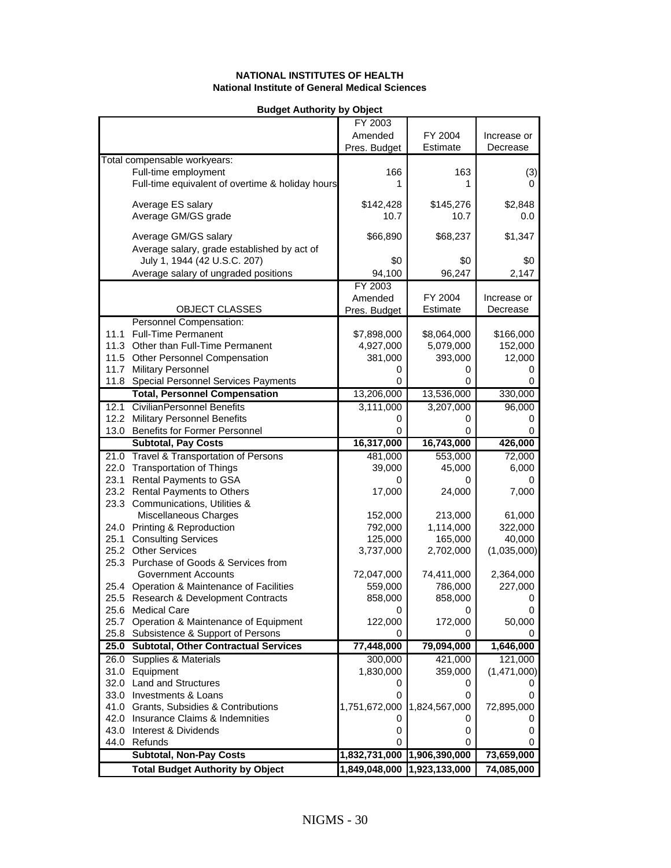<span id="page-29-0"></span>

|      | <b>Buaget Authority by Opject</b>                |                             |                             |             |
|------|--------------------------------------------------|-----------------------------|-----------------------------|-------------|
|      |                                                  | FY 2003                     |                             |             |
|      |                                                  | Amended                     | FY 2004                     | Increase or |
|      |                                                  | Pres. Budget                | Estimate                    | Decrease    |
|      | Total compensable workyears:                     |                             |                             |             |
|      | Full-time employment                             | 166                         | 163                         | (3)         |
|      | Full-time equivalent of overtime & holiday hours | 1                           | 1                           | 0           |
|      |                                                  |                             |                             |             |
|      | Average ES salary                                | \$142,428                   | \$145,276                   | \$2,848     |
|      | Average GM/GS grade                              | 10.7                        | 10.7                        | 0.0         |
|      |                                                  |                             |                             |             |
|      | Average GM/GS salary                             | \$66,890                    | \$68,237                    | \$1,347     |
|      | Average salary, grade established by act of      |                             |                             |             |
|      | July 1, 1944 (42 U.S.C. 207)                     | \$0                         | \$0                         | \$0         |
|      | Average salary of ungraded positions             | 94,100                      | 96,247                      | 2,147       |
|      |                                                  | FY 2003                     |                             |             |
|      |                                                  | Amended                     | FY 2004                     | Increase or |
|      |                                                  |                             | Estimate                    | Decrease    |
|      | OBJECT CLASSES                                   | Pres. Budget                |                             |             |
|      | Personnel Compensation:                          |                             |                             |             |
| 11.1 | <b>Full-Time Permanent</b>                       | \$7,898,000                 | \$8,064,000                 | \$166,000   |
|      | 11.3 Other than Full-Time Permanent              | 4,927,000                   | 5,079,000                   | 152,000     |
|      | 11.5 Other Personnel Compensation                | 381,000                     | 393,000                     | 12,000      |
|      | 11.7 Military Personnel                          | 0                           | 0                           | 0           |
|      | 11.8 Special Personnel Services Payments         | 0                           | 0                           | 0           |
|      | <b>Total, Personnel Compensation</b>             | 13,206,000                  | 13,536,000                  | 330,000     |
|      | 12.1 CivilianPersonnel Benefits                  | 3,111,000                   | 3,207,000                   | 96,000      |
|      | 12.2 Military Personnel Benefits                 | 0                           | 0                           | 0           |
|      | 13.0 Benefits for Former Personnel               | 0                           | 0                           | 0           |
|      | <b>Subtotal, Pay Costs</b>                       | 16,317,000                  | 16,743,000                  | 426,000     |
|      | 21.0 Travel & Transportation of Persons          | 481,000                     | 553,000                     | 72,000      |
|      | 22.0 Transportation of Things                    | 39,000                      | 45,000                      | 6,000       |
|      | 23.1 Rental Payments to GSA                      |                             |                             | 0           |
|      | 23.2 Rental Payments to Others                   | 17,000                      | 24,000                      | 7,000       |
|      | 23.3 Communications, Utilities &                 |                             |                             |             |
|      | Miscellaneous Charges                            | 152,000                     | 213,000                     | 61,000      |
|      |                                                  |                             | 1,114,000                   |             |
|      | 24.0 Printing & Reproduction                     | 792,000                     |                             | 322,000     |
|      | 25.1 Consulting Services                         | 125,000                     | 165,000                     | 40,000      |
|      | 25.2 Other Services                              | 3,737,000                   | 2,702,000                   | (1,035,000) |
|      | 25.3 Purchase of Goods & Services from           |                             |                             |             |
|      | <b>Government Accounts</b>                       | 72,047,000                  | 74,411,000                  | 2,364,000   |
|      | 25.4 Operation & Maintenance of Facilities       | 559,000                     | 786,000                     | 227,000     |
|      | 25.5 Research & Development Contracts            | 858.000                     | 858,000                     | 0           |
|      | 25.6 Medical Care                                | 0                           | 0                           | 0           |
|      | 25.7 Operation & Maintenance of Equipment        | 122,000                     | 172,000                     | 50,000      |
|      | 25.8 Subsistence & Support of Persons            | 0                           | 0                           | 0           |
|      | 25.0 Subtotal, Other Contractual Services        | 77,448,000                  | 79,094,000                  | 1,646,000   |
|      | 26.0 Supplies & Materials                        | 300,000                     | 421,000                     | 121,000     |
|      | 31.0 Equipment                                   | 1,830,000                   | 359,000                     | (1,471,000) |
|      | 32.0 Land and Structures                         | 0                           | 0                           |             |
|      | 33.0 Investments & Loans                         | 0                           | 0                           | 0           |
|      | 41.0 Grants, Subsidies & Contributions           | 1,751,672,000               | 1,824,567,000               | 72,895,000  |
|      | 42.0 Insurance Claims & Indemnities              | 0                           | 0                           | 0           |
|      | 43.0 Interest & Dividends                        | 0                           | 0                           | 0           |
|      | 44.0 Refunds                                     | 0                           | 0                           | 0           |
|      |                                                  |                             |                             |             |
|      | <b>Subtotal, Non-Pay Costs</b>                   | 1,832,731,000 1,906,390,000 |                             | 73,659,000  |
|      | <b>Total Budget Authority by Object</b>          |                             | 1,849,048,000 1,923,133,000 | 74,085,000  |

#### **Budget Authority by Object**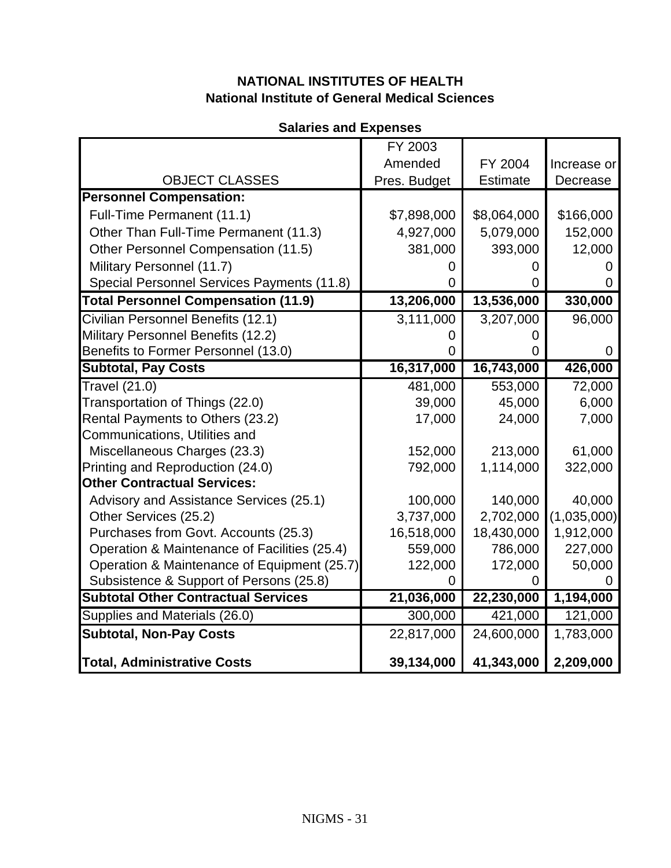# **Salaries and Expenses**

<span id="page-30-0"></span>

|                                              | FY 2003      |                 |             |
|----------------------------------------------|--------------|-----------------|-------------|
|                                              | Amended      | FY 2004         | Increase or |
| <b>OBJECT CLASSES</b>                        | Pres. Budget | <b>Estimate</b> | Decrease    |
| <b>Personnel Compensation:</b>               |              |                 |             |
| Full-Time Permanent (11.1)                   | \$7,898,000  | \$8,064,000     | \$166,000   |
| Other Than Full-Time Permanent (11.3)        | 4,927,000    | 5,079,000       | 152,000     |
| Other Personnel Compensation (11.5)          | 381,000      | 393,000         | 12,000      |
| Military Personnel (11.7)                    |              |                 |             |
| Special Personnel Services Payments (11.8)   |              |                 |             |
| <b>Total Personnel Compensation (11.9)</b>   | 13,206,000   | 13,536,000      | 330,000     |
| Civilian Personnel Benefits (12.1)           | 3,111,000    | 3,207,000       | 96,000      |
| Military Personnel Benefits (12.2)           |              |                 |             |
| Benefits to Former Personnel (13.0)          |              |                 |             |
| <b>Subtotal, Pay Costs</b>                   | 16,317,000   | 16,743,000      | 426,000     |
| Travel (21.0)                                | 481,000      | 553,000         | 72,000      |
| Transportation of Things (22.0)              | 39,000       | 45,000          | 6,000       |
| Rental Payments to Others (23.2)             | 17,000       | 24,000          | 7,000       |
| Communications, Utilities and                |              |                 |             |
| Miscellaneous Charges (23.3)                 | 152,000      | 213,000         | 61,000      |
| Printing and Reproduction (24.0)             | 792,000      | 1,114,000       | 322,000     |
| <b>Other Contractual Services:</b>           |              |                 |             |
| Advisory and Assistance Services (25.1)      | 100,000      | 140,000         | 40,000      |
| Other Services (25.2)                        | 3,737,000    | 2,702,000       | (1,035,000) |
| Purchases from Govt. Accounts (25.3)         | 16,518,000   | 18,430,000      | 1,912,000   |
| Operation & Maintenance of Facilities (25.4) | 559,000      | 786,000         | 227,000     |
| Operation & Maintenance of Equipment (25.7)  | 122,000      | 172,000         | 50,000      |
| Subsistence & Support of Persons (25.8)      |              |                 |             |
| <b>Subtotal Other Contractual Services</b>   | 21,036,000   | 22,230,000      | 1,194,000   |
| Supplies and Materials (26.0)                | 300,000      | 421,000         | 121,000     |
| <b>Subtotal, Non-Pay Costs</b>               | 22,817,000   | 24,600,000      | 1,783,000   |
| <b>Total, Administrative Costs</b>           | 39,134,000   | 41,343,000      | 2,209,000   |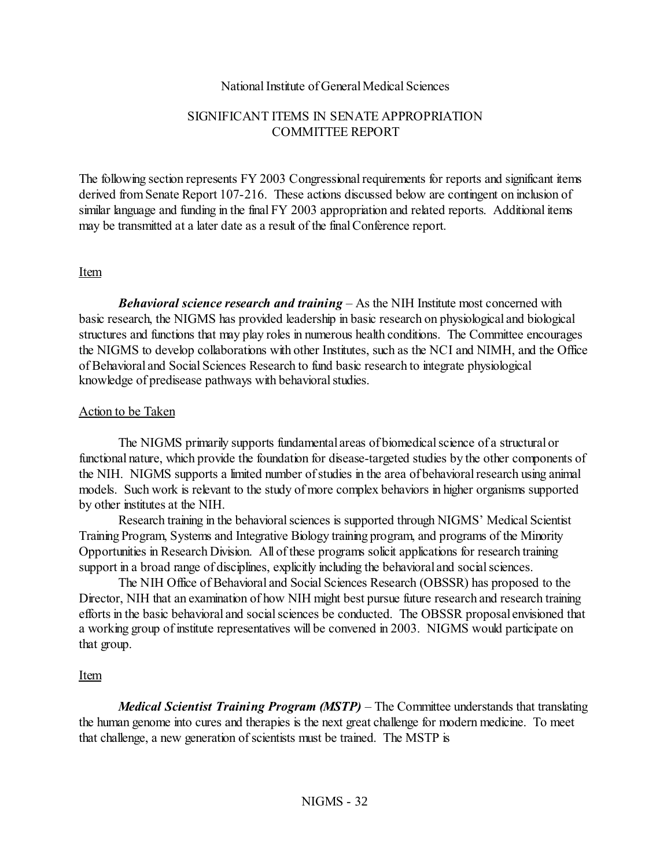#### National Institute of General Medical Sciences

### SIGNIFICANT ITEMS IN SENATE APPROPRIATION COMMITTEE REPORT

<span id="page-31-0"></span>The following section represents FY 2003 Congressional requirements for reports and significant items derived from Senate Report 107-216. These actions discussed below are contingent on inclusion of similar language and funding in the final FY 2003 appropriation and related reports. Additional items may be transmitted at a later date as a result of the final Conference report.

#### Item

*Behavioral science research and training* – As the NIH Institute most concerned with basic research, the NIGMS has provided leadership in basic research on physiological and biological structures and functions that may play roles in numerous health conditions. The Committee encourages the NIGMS to develop collaborations with other Institutes, such as the NCI and NIMH, and the Office of Behavioral and Social Sciences Research to fund basic research to integrate physiological knowledge of predisease pathways with behavioral studies.

#### Action to be Taken

The NIGMS primarily supports fundamental areas of biomedical science of a structural or functional nature, which provide the foundation for disease-targeted studies by the other components of the NIH. NIGMS supports a limited number of studies in the area of behavioral research using animal models. Such work is relevant to the study of more complex behaviors in higher organisms supported by other institutes at the NIH.

Research training in the behavioral sciences is supported through NIGMS' Medical Scientist Training Program, Systems and Integrative Biology training program, and programs of the Minority Opportunities in Research Division. All of these programs solicit applications for research training support in a broad range of disciplines, explicitly including the behavioral and social sciences.

The NIH Office of Behavioral and Social Sciences Research (OBSSR) has proposed to the Director, NIH that an examination of how NIH might best pursue future research and research training efforts in the basic behavioral and social sciences be conducted. The OBSSR proposal envisioned that a working group of institute representatives will be convened in 2003. NIGMS would participate on that group.

### Item

*Medical Scientist Training Program (MSTP)* – The Committee understands that translating the human genome into cures and therapies is the next great challenge for modern medicine. To meet that challenge, a new generation of scientists must be trained. The MSTP is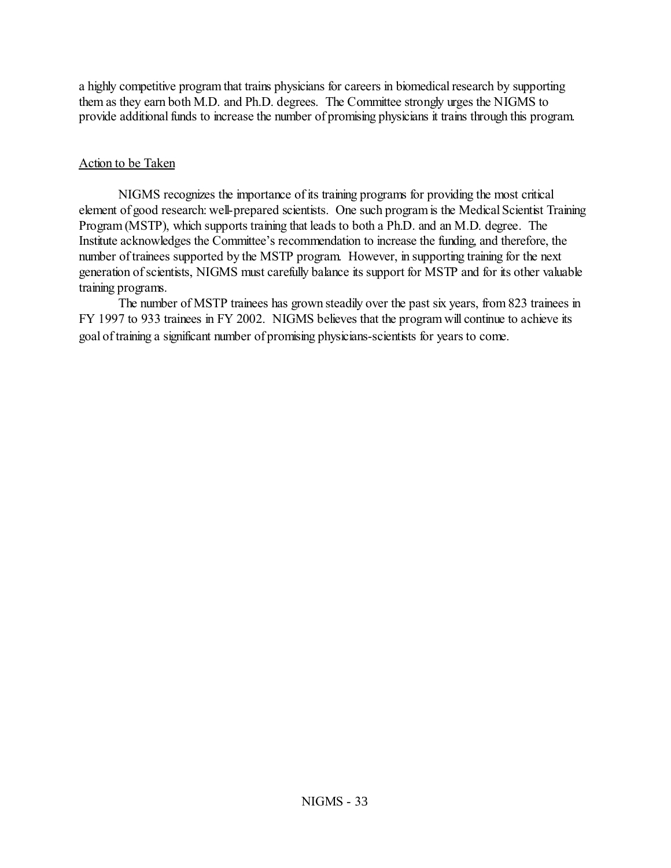a highly competitive program that trains physicians for careers in biomedical research by supporting them as they earn both M.D. and Ph.D. degrees. The Committee strongly urges the NIGMS to provide additional funds to increase the number of promising physicians it trains through this program.

### Action to be Taken

NIGMS recognizes the importance of its training programs for providing the most critical element of good research: well-prepared scientists. One such program is the Medical Scientist Training Program (MSTP), which supports training that leads to both a Ph.D. and an M.D. degree. The Institute acknowledges the Committee's recommendation to increase the funding, and therefore, the number of trainees supported by the MSTP program. However, in supporting training for the next generation of scientists, NIGMS must carefully balance its support for MSTP and for its other valuable training programs.

The number of MSTP trainees has grown steadily over the past six years, from 823 trainees in FY 1997 to 933 trainees in FY 2002. NIGMS believes that the program will continue to achieve its goal of training a significant number of promising physicians-scientists for years to come.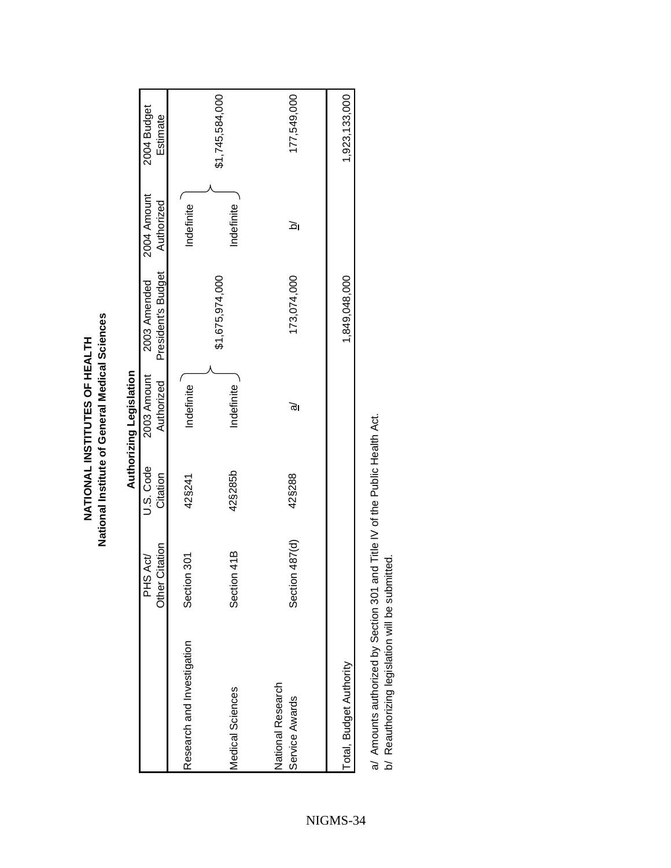<span id="page-33-0"></span>

|                                     |                            |                       | Authorizing Legislation   |                                    |                           |                         |
|-------------------------------------|----------------------------|-----------------------|---------------------------|------------------------------------|---------------------------|-------------------------|
|                                     | Other Citation<br>PHS Act/ | U.S. Code<br>Citation | 2003 Amount<br>Authorized | President's Budget<br>2003 Amended | 2004 Amount<br>Authorized | 2004 Budget<br>Estimate |
| Research and Investigation          | Section 301                | 42§241                | Indefinite                |                                    | Indefinite                |                         |
| <b>Medical Sciences</b>             | Section 41B                | 42§285b               | Indefinite                | \$1,675,974,000                    | Indefinite                | \$1,745,584,000         |
| National Research<br>Service Awards | Section 487(d)             | 42§288                | ত                         | 173,074,000                        | <u>ত</u>                  | 177,549,000             |
| Total, Budget Authority             |                            |                       |                           | 1,849,048,000                      |                           | 1,923,133,000           |
| $\frac{1}{1}$                       | ć                          | こくしこう こうこうしょう こうしょう   |                           |                                    |                           |                         |

National Institute of General Medical Sciences **National Institute of General Medical Sciences** NATIONAL INSTITUTES OF HEALTH **NATIONAL INSTITUTES OF HEALTH**

a/ Amounts authorized by Section 301 and Title IV of the Public Health Act.<br>b/ Reauthorizing legislation will be submitted. a/ Amounts authorized by Section 301 and Title IV of the Public Health Act.

b/ Reauthorizing legislation will be submitted.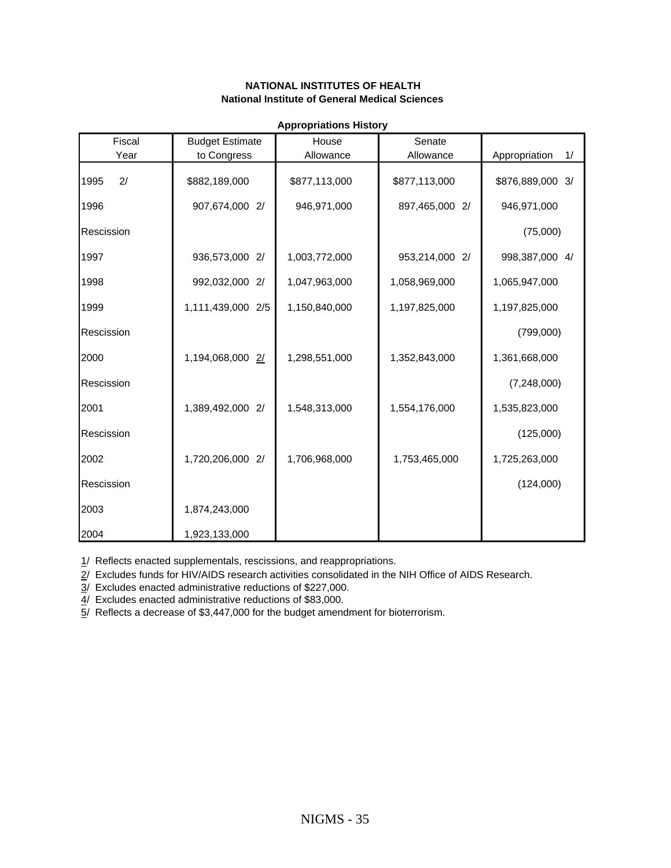<span id="page-34-0"></span>

|            |                        | <b>Appropriations History</b> |                |                     |
|------------|------------------------|-------------------------------|----------------|---------------------|
| Fiscal     | <b>Budget Estimate</b> | House                         | Senate         |                     |
| Year       | to Congress            | Allowance                     | Allowance      | 1/<br>Appropriation |
| 2/<br>1995 | \$882,189,000          | \$877,113,000                 | \$877,113,000  | \$876,889,000 3/    |
| 1996       | 907,674,000 2/         | 946,971,000                   | 897,465,000 2/ | 946,971,000         |
| Rescission |                        |                               |                | (75,000)            |
| 1997       | 936,573,000 2/         | 1,003,772,000                 | 953,214,000 2/ | 998,387,000 4/      |
| 1998       | 992,032,000 2/         | 1,047,963,000                 | 1,058,969,000  | 1,065,947,000       |
| 1999       | 1,111,439,000 2/5      | 1,150,840,000                 | 1,197,825,000  | 1,197,825,000       |
| Rescission |                        |                               |                | (799,000)           |
| 2000       | 1,194,068,000 2/       | 1,298,551,000                 | 1,352,843,000  | 1,361,668,000       |
| Rescission |                        |                               |                | (7,248,000)         |
| 2001       | 1,389,492,000 2/       | 1,548,313,000                 | 1,554,176,000  | 1,535,823,000       |
| Rescission |                        |                               |                | (125,000)           |
| 2002       | 1,720,206,000 2/       | 1,706,968,000                 | 1,753,465,000  | 1,725,263,000       |
| Rescission |                        |                               |                | (124,000)           |
| 2003       | 1,874,243,000          |                               |                |                     |
| 2004       | 1,923,133,000          |                               |                |                     |

1/ Reflects enacted supplementals, rescissions, and reappropriations. 2/ Excludes funds for HIV/AIDS research activities consolidated in the NIH Office of AIDS Research.

3/ Excludes enacted administrative reductions of \$227,000.

4/ Excludes enacted administrative reductions of \$83,000.

5/ Reflects a decrease of \$3,447,000 for the budget amendment for bioterrorism.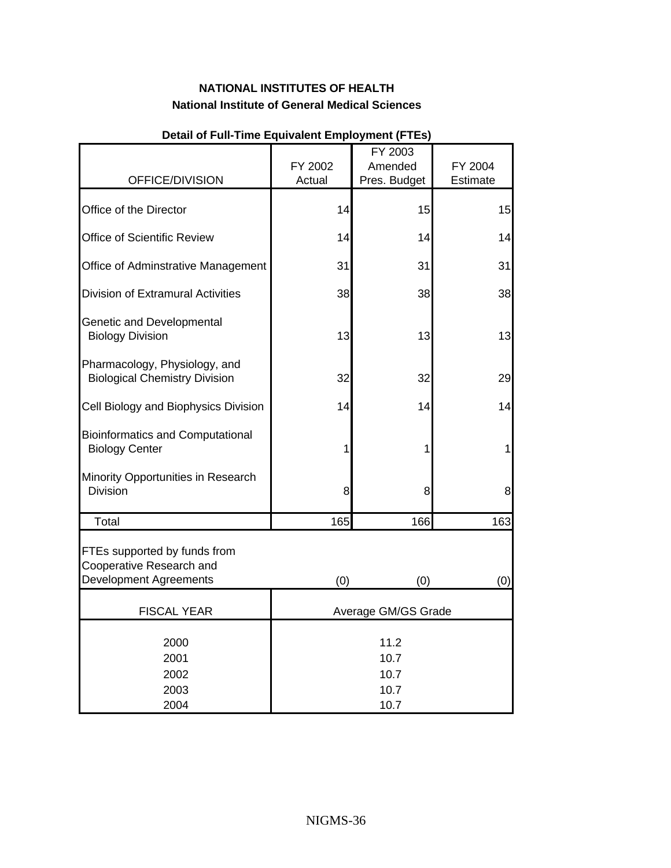<span id="page-35-0"></span>

|                                                                       |                      | FY 2003                 |                     |  |
|-----------------------------------------------------------------------|----------------------|-------------------------|---------------------|--|
| OFFICE/DIVISION                                                       | FY 2002<br>Actual    | Amended<br>Pres. Budget | FY 2004<br>Estimate |  |
| Office of the Director                                                | 14                   | 15                      | 15                  |  |
| Office of Scientific Review                                           | 14                   | 14                      | 14                  |  |
| Office of Adminstrative Management                                    | 31                   | 31                      | 31                  |  |
| <b>Division of Extramural Activities</b>                              | 38                   | 38                      | 38                  |  |
| Genetic and Developmental<br><b>Biology Division</b>                  | 13                   | 13                      | 13                  |  |
| Pharmacology, Physiology, and<br><b>Biological Chemistry Division</b> | 32                   | 32                      | 29                  |  |
| Cell Biology and Biophysics Division                                  | 14                   | 14                      | 14                  |  |
| <b>Bioinformatics and Computational</b><br><b>Biology Center</b>      | 1                    | 1                       | 1                   |  |
| Minority Opportunities in Research<br>Division                        | 8                    | 8                       | 8                   |  |
| Total                                                                 | 165                  | 166                     | 163                 |  |
| FTEs supported by funds from<br>Cooperative Research and              |                      |                         |                     |  |
| <b>Development Agreements</b>                                         | (0)                  | (0)                     | (0)                 |  |
| <b>FISCAL YEAR</b>                                                    |                      | Average GM/GS Grade     |                     |  |
| 2000<br>2001<br>2002                                                  | 11.2<br>10.7<br>10.7 |                         |                     |  |
| 2003<br>2004                                                          |                      | 10.7<br>10.7            |                     |  |

#### **Detail of Full-Time Equivalent Employment (FTEs)**